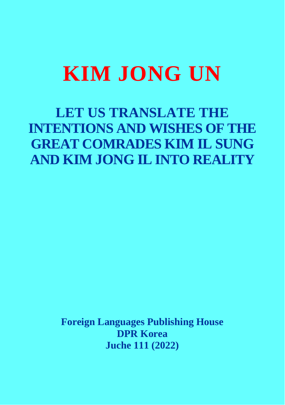# **KIM JONG UN**

**LET US TRANSLATE THE INTENTIONS AND WISHES OF THE GREAT COMRADES KIM IL SUNG AND KIM JONG IL INTO REALITY** 

> **Foreign Languages Publishing House DPR Korea Juche 111 (2022)**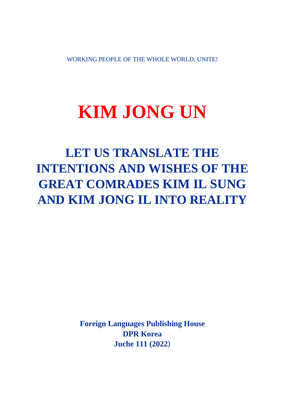WORKING PEOPLE OF THE WHOLE WORLD, UNITE!

# **KIM JONG UN**

**LET US TRANSLATE THE INTENTIONS AND WISHES OF THE GREAT COMRADES KIM IL SUNG AND KIM JONG IL INTO REALITY** 

> **Foreign Languages Publishing House DPR Korea Juche 111 (2022)**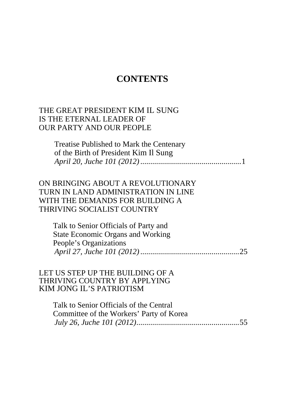# **CONTENTS**

#### <span id="page-2-0"></span>[THE GREAT PRESIDENT KIM IL SUNG](#page-3-0)  IS THE ETERNAL LEADER OF OUR PARTY AND OUR PEOPLE

| Treatise Published to Mark the Centenary |
|------------------------------------------|
| of the Birth of President Kim Il Sung    |
|                                          |

#### [ON BRINGING ABOUT A REVOLUTIONARY](#page-27-0)  TURN IN LAND ADMINISTRATION IN LINE WITH THE DEMANDS FOR BUILDING A THRIVING SOCIALIST COUNTRY

Talk to Senior Officials of Party and State Economic Organs and Working People's Organizations *April 27, Juche 101 (2012)*..................................................25

#### [LET US STEP UP THE BUILDING OF A](#page-57-0)  THRIVING COUNTRY BY APPLYING KIM JONG IL'S PATRIOTISM

Talk to Senior Officials of the Central Committee of the Workers' Party of Korea *July 26, Juche 101 (2012)*....................................................55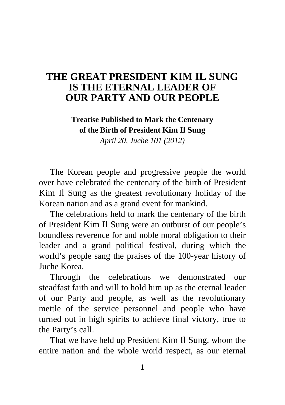# <span id="page-3-0"></span>**[THE GREAT PRESIDENT KIM IL SUNG](#page-2-0)  IS THE ETERNAL LEADER OF OUR PARTY AND OUR PEOPLE**

# **Treatise Published to Mark the Centenary of the Birth of President Kim Il Sung**

*April 20, Juche 101 (2012)* 

The Korean people and progressive people the world over have celebrated the centenary of the birth of President Kim Il Sung as the greatest revolutionary holiday of the Korean nation and as a grand event for mankind.

The celebrations held to mark the centenary of the birth of President Kim Il Sung were an outburst of our people's boundless reverence for and noble moral obligation to their leader and a grand political festival, during which the world's people sang the praises of the 100-year history of Juche Korea.

Through the celebrations we demonstrated our steadfast faith and will to hold him up as the eternal leader of our Party and people, as well as the revolutionary mettle of the service personnel and people who have turned out in high spirits to achieve final victory, true to the Party's call.

That we have held up President Kim Il Sung, whom the entire nation and the whole world respect, as our eternal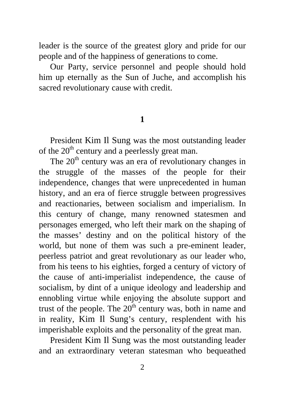leader is the source of the greatest glory and pride for our people and of the happiness of generations to come.

Our Party, service personnel and people should hold him up eternally as the Sun of Juche, and accomplish his sacred revolutionary cause with credit.

## **1**

President Kim Il Sung was the most outstanding leader of the  $20<sup>th</sup>$  century and a peerlessly great man.

The  $20<sup>th</sup>$  century was an era of revolutionary changes in the struggle of the masses of the people for their independence, changes that were unprecedented in human history, and an era of fierce struggle between progressives and reactionaries, between socialism and imperialism. In this century of change, many renowned statesmen and personages emerged, who left their mark on the shaping of the masses' destiny and on the political history of the world, but none of them was such a pre-eminent leader, peerless patriot and great revolutionary as our leader who, from his teens to his eighties, forged a century of victory of the cause of anti-imperialist independence, the cause of socialism, by dint of a unique ideology and leadership and ennobling virtue while enjoying the absolute support and trust of the people. The  $20<sup>th</sup>$  century was, both in name and in reality, Kim Il Sung's century, resplendent with his imperishable exploits and the personality of the great man.

President Kim Il Sung was the most outstanding leader and an extraordinary veteran statesman who bequeathed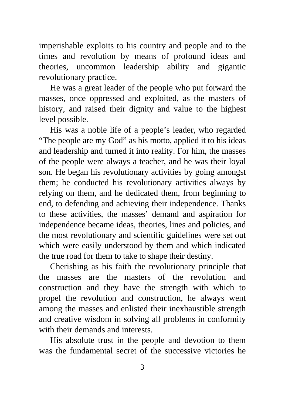imperishable exploits to his country and people and to the times and revolution by means of profound ideas and theories, uncommon leadership ability and gigantic revolutionary practice.

He was a great leader of the people who put forward the masses, once oppressed and exploited, as the masters of history, and raised their dignity and value to the highest level possible.

His was a noble life of a people's leader, who regarded "The people are my God" as his motto, applied it to his ideas and leadership and turned it into reality. For him, the masses of the people were always a teacher, and he was their loyal son. He began his revolutionary activities by going amongst them; he conducted his revolutionary activities always by relying on them, and he dedicated them, from beginning to end, to defending and achieving their independence. Thanks to these activities, the masses' demand and aspiration for independence became ideas, theories, lines and policies, and the most revolutionary and scientific guidelines were set out which were easily understood by them and which indicated the true road for them to take to shape their destiny.

Cherishing as his faith the revolutionary principle that the masses are the masters of the revolution and construction and they have the strength with which to propel the revolution and construction, he always went among the masses and enlisted their inexhaustible strength and creative wisdom in solving all problems in conformity with their demands and interests.

His absolute trust in the people and devotion to them was the fundamental secret of the successive victories he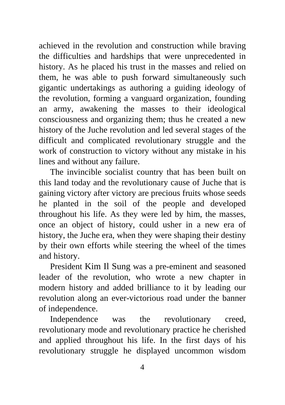achieved in the revolution and construction while braving the difficulties and hardships that were unprecedented in history. As he placed his trust in the masses and relied on them, he was able to push forward simultaneously such gigantic undertakings as authoring a guiding ideology of the revolution, forming a vanguard organization, founding an army, awakening the masses to their ideological consciousness and organizing them; thus he created a new history of the Juche revolution and led several stages of the difficult and complicated revolutionary struggle and the work of construction to victory without any mistake in his lines and without any failure.

The invincible socialist country that has been built on this land today and the revolutionary cause of Juche that is gaining victory after victory are precious fruits whose seeds he planted in the soil of the people and developed throughout his life. As they were led by him, the masses, once an object of history, could usher in a new era of history, the Juche era, when they were shaping their destiny by their own efforts while steering the wheel of the times and history.

President Kim Il Sung was a pre-eminent and seasoned leader of the revolution, who wrote a new chapter in modern history and added brilliance to it by leading our revolution along an ever-victorious road under the banner of independence.

Independence was the revolutionary creed, revolutionary mode and revolutionary practice he cherished and applied throughout his life. In the first days of his revolutionary struggle he displayed uncommon wisdom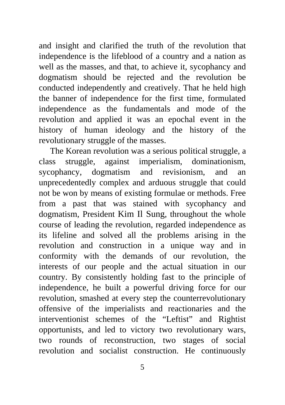and insight and clarified the truth of the revolution that independence is the lifeblood of a country and a nation as well as the masses, and that, to achieve it, sycophancy and dogmatism should be rejected and the revolution be conducted independently and creatively. That he held high the banner of independence for the first time, formulated independence as the fundamentals and mode of the revolution and applied it was an epochal event in the history of human ideology and the history of the revolutionary struggle of the masses.

The Korean revolution was a serious political struggle, a class struggle, against imperialism, dominationism, sycophancy, dogmatism and revisionism, and an unprecedentedly complex and arduous struggle that could not be won by means of existing formulae or methods. Free from a past that was stained with sycophancy and dogmatism, President Kim Il Sung, throughout the whole course of leading the revolution, regarded independence as its lifeline and solved all the problems arising in the revolution and construction in a unique way and in conformity with the demands of our revolution, the interests of our people and the actual situation in our country. By consistently holding fast to the principle of independence, he built a powerful driving force for our revolution, smashed at every step the counterrevolutionary offensive of the imperialists and reactionaries and the interventionist schemes of the "Leftist" and Rightist opportunists, and led to victory two revolutionary wars, two rounds of reconstruction, two stages of social revolution and socialist construction. He continuously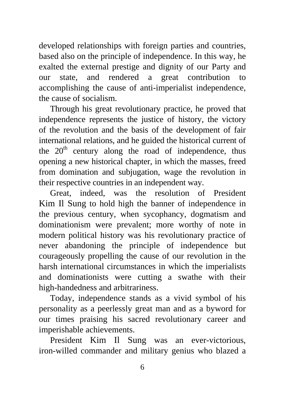developed relationships with foreign parties and countries, based also on the principle of independence. In this way, he exalted the external prestige and dignity of our Party and our state, and rendered a great contribution to accomplishing the cause of anti-imperialist independence, the cause of socialism.

Through his great revolutionary practice, he proved that independence represents the justice of history, the victory of the revolution and the basis of the development of fair international relations, and he guided the historical current of the  $20<sup>th</sup>$  century along the road of independence, thus opening a new historical chapter, in which the masses, freed from domination and subjugation, wage the revolution in their respective countries in an independent way.

Great, indeed, was the resolution of President Kim Il Sung to hold high the banner of independence in the previous century, when sycophancy, dogmatism and dominationism were prevalent; more worthy of note in modern political history was his revolutionary practice of never abandoning the principle of independence but courageously propelling the cause of our revolution in the harsh international circumstances in which the imperialists and dominationists were cutting a swathe with their high-handedness and arbitrariness.

Today, independence stands as a vivid symbol of his personality as a peerlessly great man and as a byword for our times praising his sacred revolutionary career and imperishable achievements.

President Kim Il Sung was an ever-victorious, iron-willed commander and military genius who blazed a

6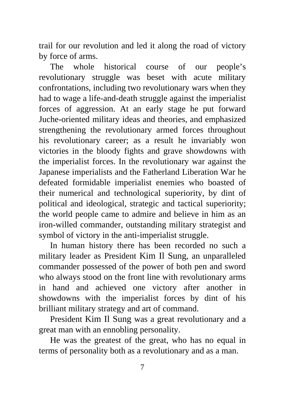trail for our revolution and led it along the road of victory by force of arms.

The whole historical course of our people's revolutionary struggle was beset with acute military confrontations, including two revolutionary wars when they had to wage a life-and-death struggle against the imperialist forces of aggression. At an early stage he put forward Juche-oriented military ideas and theories, and emphasized strengthening the revolutionary armed forces throughout his revolutionary career; as a result he invariably won victories in the bloody fights and grave showdowns with the imperialist forces. In the revolutionary war against the Japanese imperialists and the Fatherland Liberation War he defeated formidable imperialist enemies who boasted of their numerical and technological superiority, by dint of political and ideological, strategic and tactical superiority; the world people came to admire and believe in him as an iron-willed commander, outstanding military strategist and symbol of victory in the anti-imperialist struggle.

In human history there has been recorded no such a military leader as President Kim Il Sung, an unparalleled commander possessed of the power of both pen and sword who always stood on the front line with revolutionary arms in hand and achieved one victory after another in showdowns with the imperialist forces by dint of his brilliant military strategy and art of command.

President Kim Il Sung was a great revolutionary and a great man with an ennobling personality.

He was the greatest of the great, who has no equal in terms of personality both as a revolutionary and as a man.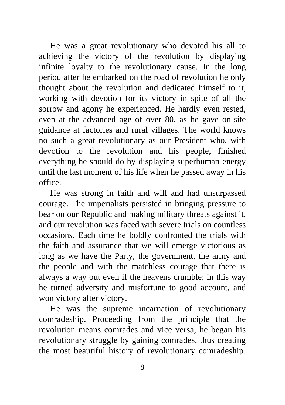He was a great revolutionary who devoted his all to achieving the victory of the revolution by displaying infinite loyalty to the revolutionary cause. In the long period after he embarked on the road of revolution he only thought about the revolution and dedicated himself to it, working with devotion for its victory in spite of all the sorrow and agony he experienced. He hardly even rested, even at the advanced age of over 80, as he gave on-site guidance at factories and rural villages. The world knows no such a great revolutionary as our President who, with devotion to the revolution and his people, finished everything he should do by displaying superhuman energy until the last moment of his life when he passed away in his office.

He was strong in faith and will and had unsurpassed courage. The imperialists persisted in bringing pressure to bear on our Republic and making military threats against it, and our revolution was faced with severe trials on countless occasions. Each time he boldly confronted the trials with the faith and assurance that we will emerge victorious as long as we have the Party, the government, the army and the people and with the matchless courage that there is always a way out even if the heavens crumble; in this way he turned adversity and misfortune to good account, and won victory after victory.

He was the supreme incarnation of revolutionary comradeship. Proceeding from the principle that the revolution means comrades and vice versa, he began his revolutionary struggle by gaining comrades, thus creating the most beautiful history of revolutionary comradeship.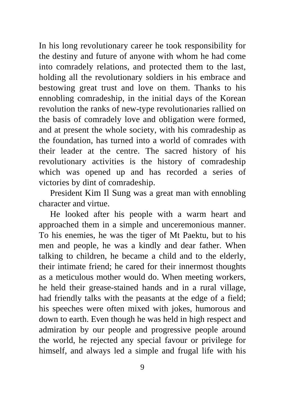In his long revolutionary career he took responsibility for the destiny and future of anyone with whom he had come into comradely relations, and protected them to the last, holding all the revolutionary soldiers in his embrace and bestowing great trust and love on them. Thanks to his ennobling comradeship, in the initial days of the Korean revolution the ranks of new-type revolutionaries rallied on the basis of comradely love and obligation were formed, and at present the whole society, with his comradeship as the foundation, has turned into a world of comrades with their leader at the centre. The sacred history of his revolutionary activities is the history of comradeship which was opened up and has recorded a series of victories by dint of comradeship.

President Kim Il Sung was a great man with ennobling character and virtue.

He looked after his people with a warm heart and approached them in a simple and unceremonious manner. To his enemies, he was the tiger of Mt Paektu, but to his men and people, he was a kindly and dear father. When talking to children, he became a child and to the elderly, their intimate friend; he cared for their innermost thoughts as a meticulous mother would do. When meeting workers, he held their grease-stained hands and in a rural village, had friendly talks with the peasants at the edge of a field; his speeches were often mixed with jokes, humorous and down to earth. Even though he was held in high respect and admiration by our people and progressive people around the world, he rejected any special favour or privilege for himself, and always led a simple and frugal life with his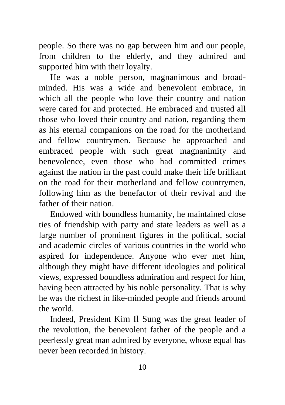people. So there was no gap between him and our people, from children to the elderly, and they admired and supported him with their loyalty.

He was a noble person, magnanimous and broadminded. His was a wide and benevolent embrace, in which all the people who love their country and nation were cared for and protected. He embraced and trusted all those who loved their country and nation, regarding them as his eternal companions on the road for the motherland and fellow countrymen. Because he approached and embraced people with such great magnanimity and benevolence, even those who had committed crimes against the nation in the past could make their life brilliant on the road for their motherland and fellow countrymen, following him as the benefactor of their revival and the father of their nation.

Endowed with boundless humanity, he maintained close ties of friendship with party and state leaders as well as a large number of prominent figures in the political, social and academic circles of various countries in the world who aspired for independence. Anyone who ever met him, although they might have different ideologies and political views, expressed boundless admiration and respect for him, having been attracted by his noble personality. That is why he was the richest in like-minded people and friends around the world.

Indeed, President Kim Il Sung was the great leader of the revolution, the benevolent father of the people and a peerlessly great man admired by everyone, whose equal has never been recorded in history.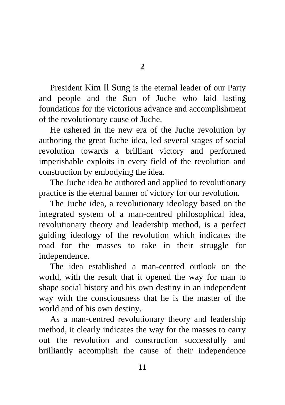President Kim Il Sung is the eternal leader of our Party and people and the Sun of Juche who laid lasting foundations for the victorious advance and accomplishment of the revolutionary cause of Juche.

He ushered in the new era of the Juche revolution by authoring the great Juche idea, led several stages of social revolution towards a brilliant victory and performed imperishable exploits in every field of the revolution and construction by embodying the idea.

The Juche idea he authored and applied to revolutionary practice is the eternal banner of victory for our revolution.

The Juche idea, a revolutionary ideology based on the integrated system of a man-centred philosophical idea, revolutionary theory and leadership method, is a perfect guiding ideology of the revolution which indicates the road for the masses to take in their struggle for independence.

The idea established a man-centred outlook on the world, with the result that it opened the way for man to shape social history and his own destiny in an independent way with the consciousness that he is the master of the world and of his own destiny.

As a man-centred revolutionary theory and leadership method, it clearly indicates the way for the masses to carry out the revolution and construction successfully and brilliantly accomplish the cause of their independence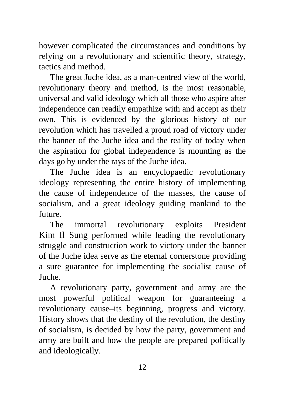however complicated the circumstances and conditions by relying on a revolutionary and scientific theory, strategy, tactics and method.

The great Juche idea, as a man-centred view of the world, revolutionary theory and method, is the most reasonable, universal and valid ideology which all those who aspire after independence can readily empathize with and accept as their own. This is evidenced by the glorious history of our revolution which has travelled a proud road of victory under the banner of the Juche idea and the reality of today when the aspiration for global independence is mounting as the days go by under the rays of the Juche idea.

The Juche idea is an encyclopaedic revolutionary ideology representing the entire history of implementing the cause of independence of the masses, the cause of socialism, and a great ideology guiding mankind to the future.

The immortal revolutionary exploits President Kim Il Sung performed while leading the revolutionary struggle and construction work to victory under the banner of the Juche idea serve as the eternal cornerstone providing a sure guarantee for implementing the socialist cause of Juche.

A revolutionary party, government and army are the most powerful political weapon for guaranteeing a revolutionary cause–its beginning, progress and victory. History shows that the destiny of the revolution, the destiny of socialism, is decided by how the party, government and army are built and how the people are prepared politically and ideologically.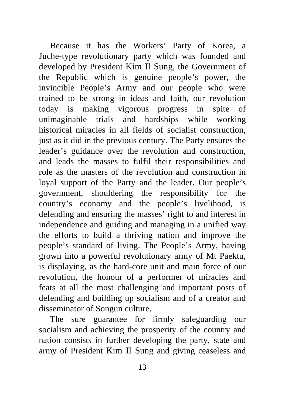Because it has the Workers' Party of Korea, a Juche-type revolutionary party which was founded and developed by President Kim Il Sung, the Government of the Republic which is genuine people's power, the invincible People's Army and our people who were trained to be strong in ideas and faith, our revolution today is making vigorous progress in spite of unimaginable trials and hardships while working historical miracles in all fields of socialist construction, just as it did in the previous century. The Party ensures the leader's guidance over the revolution and construction, and leads the masses to fulfil their responsibilities and role as the masters of the revolution and construction in loyal support of the Party and the leader. Our people's government, shouldering the responsibility for the country's economy and the people's livelihood, is defending and ensuring the masses' right to and interest in independence and guiding and managing in a unified way the efforts to build a thriving nation and improve the people's standard of living. The People's Army, having grown into a powerful revolutionary army of Mt Paektu, is displaying, as the hard-core unit and main force of our revolution, the honour of a performer of miracles and feats at all the most challenging and important posts of defending and building up socialism and of a creator and disseminator of Songun culture.

The sure guarantee for firmly safeguarding our socialism and achieving the prosperity of the country and nation consists in further developing the party, state and army of President Kim Il Sung and giving ceaseless and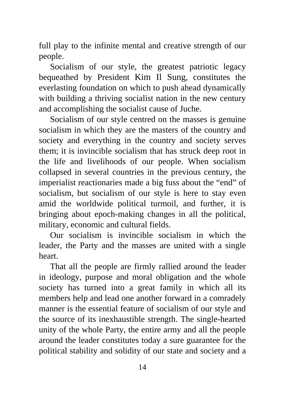full play to the infinite mental and creative strength of our people.

Socialism of our style, the greatest patriotic legacy bequeathed by President Kim Il Sung, constitutes the everlasting foundation on which to push ahead dynamically with building a thriving socialist nation in the new century and accomplishing the socialist cause of Juche.

Socialism of our style centred on the masses is genuine socialism in which they are the masters of the country and society and everything in the country and society serves them; it is invincible socialism that has struck deep root in the life and livelihoods of our people. When socialism collapsed in several countries in the previous century, the imperialist reactionaries made a big fuss about the "end" of socialism, but socialism of our style is here to stay even amid the worldwide political turmoil, and further, it is bringing about epoch-making changes in all the political, military, economic and cultural fields.

Our socialism is invincible socialism in which the leader, the Party and the masses are united with a single heart.

That all the people are firmly rallied around the leader in ideology, purpose and moral obligation and the whole society has turned into a great family in which all its members help and lead one another forward in a comradely manner is the essential feature of socialism of our style and the source of its inexhaustible strength. The single-hearted unity of the whole Party, the entire army and all the people around the leader constitutes today a sure guarantee for the political stability and solidity of our state and society and a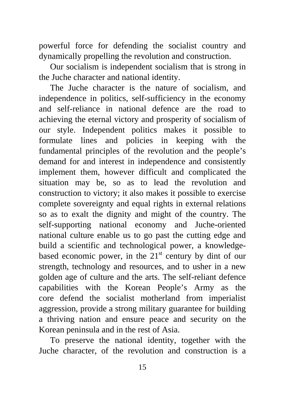powerful force for defending the socialist country and dynamically propelling the revolution and construction.

Our socialism is independent socialism that is strong in the Juche character and national identity.

The Juche character is the nature of socialism, and independence in politics, self-sufficiency in the economy and self-reliance in national defence are the road to achieving the eternal victory and prosperity of socialism of our style. Independent politics makes it possible to formulate lines and policies in keeping with the fundamental principles of the revolution and the people's demand for and interest in independence and consistently implement them, however difficult and complicated the situation may be, so as to lead the revolution and construction to victory; it also makes it possible to exercise complete sovereignty and equal rights in external relations so as to exalt the dignity and might of the country. The self-supporting national economy and Juche-oriented national culture enable us to go past the cutting edge and build a scientific and technological power, a knowledgebased economic power, in the  $21<sup>st</sup>$  century by dint of our strength, technology and resources, and to usher in a new golden age of culture and the arts. The self-reliant defence capabilities with the Korean People's Army as the core defend the socialist motherland from imperialist aggression, provide a strong military guarantee for building a thriving nation and ensure peace and security on the Korean peninsula and in the rest of Asia.

To preserve the national identity, together with the Juche character, of the revolution and construction is a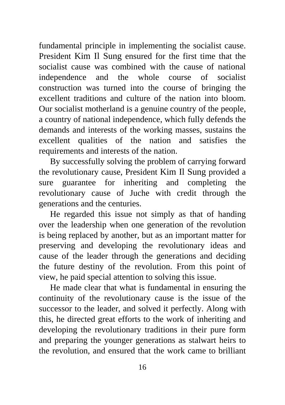fundamental principle in implementing the socialist cause. President Kim Il Sung ensured for the first time that the socialist cause was combined with the cause of national independence and the whole course of socialist construction was turned into the course of bringing the excellent traditions and culture of the nation into bloom. Our socialist motherland is a genuine country of the people, a country of national independence, which fully defends the demands and interests of the working masses, sustains the excellent qualities of the nation and satisfies the requirements and interests of the nation.

By successfully solving the problem of carrying forward the revolutionary cause, President Kim Il Sung provided a sure guarantee for inheriting and completing the revolutionary cause of Juche with credit through the generations and the centuries.

He regarded this issue not simply as that of handing over the leadership when one generation of the revolution is being replaced by another, but as an important matter for preserving and developing the revolutionary ideas and cause of the leader through the generations and deciding the future destiny of the revolution. From this point of view, he paid special attention to solving this issue.

He made clear that what is fundamental in ensuring the continuity of the revolutionary cause is the issue of the successor to the leader, and solved it perfectly. Along with this, he directed great efforts to the work of inheriting and developing the revolutionary traditions in their pure form and preparing the younger generations as stalwart heirs to the revolution, and ensured that the work came to brilliant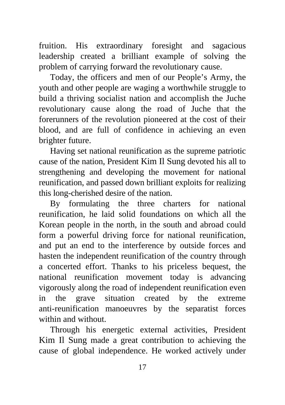fruition. His extraordinary foresight and sagacious leadership created a brilliant example of solving the problem of carrying forward the revolutionary cause.

Today, the officers and men of our People's Army, the youth and other people are waging a worthwhile struggle to build a thriving socialist nation and accomplish the Juche revolutionary cause along the road of Juche that the forerunners of the revolution pioneered at the cost of their blood, and are full of confidence in achieving an even brighter future.

Having set national reunification as the supreme patriotic cause of the nation, President Kim Il Sung devoted his all to strengthening and developing the movement for national reunification, and passed down brilliant exploits for realizing this long-cherished desire of the nation.

By formulating the three charters for national reunification, he laid solid foundations on which all the Korean people in the north, in the south and abroad could form a powerful driving force for national reunification, and put an end to the interference by outside forces and hasten the independent reunification of the country through a concerted effort. Thanks to his priceless bequest, the national reunification movement today is advancing vigorously along the road of independent reunification even in the grave situation created by the extreme anti-reunification manoeuvres by the separatist forces within and without.

Through his energetic external activities, President Kim Il Sung made a great contribution to achieving the cause of global independence. He worked actively under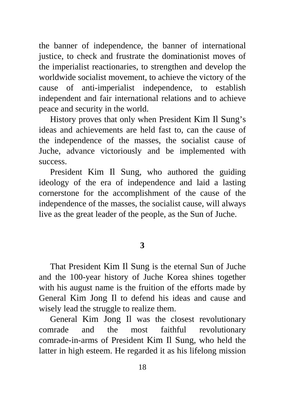the banner of independence, the banner of international justice, to check and frustrate the dominationist moves of the imperialist reactionaries, to strengthen and develop the worldwide socialist movement, to achieve the victory of the cause of anti-imperialist independence, to establish independent and fair international relations and to achieve peace and security in the world.

History proves that only when President Kim Il Sung's ideas and achievements are held fast to, can the cause of the independence of the masses, the socialist cause of Juche, advance victoriously and be implemented with success.

President Kim Il Sung, who authored the guiding ideology of the era of independence and laid a lasting cornerstone for the accomplishment of the cause of the independence of the masses, the socialist cause, will always live as the great leader of the people, as the Sun of Juche.

### **3**

That President Kim Il Sung is the eternal Sun of Juche and the 100-year history of Juche Korea shines together with his august name is the fruition of the efforts made by General Kim Jong Il to defend his ideas and cause and wisely lead the struggle to realize them.

General Kim Jong Il was the closest revolutionary comrade and the most faithful revolutionary comrade-in-arms of President Kim Il Sung, who held the latter in high esteem. He regarded it as his lifelong mission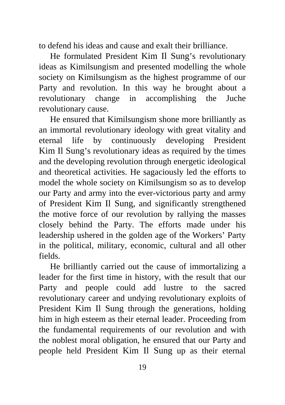to defend his ideas and cause and exalt their brilliance.

He formulated President Kim Il Sung's revolutionary ideas as Kimilsungism and presented modelling the whole society on Kimilsungism as the highest programme of our Party and revolution. In this way he brought about a revolutionary change in accomplishing the Juche revolutionary cause.

He ensured that Kimilsungism shone more brilliantly as an immortal revolutionary ideology with great vitality and eternal life by continuously developing President Kim Il Sung's revolutionary ideas as required by the times and the developing revolution through energetic ideological and theoretical activities. He sagaciously led the efforts to model the whole society on Kimilsungism so as to develop our Party and army into the ever-victorious party and army of President Kim Il Sung, and significantly strengthened the motive force of our revolution by rallying the masses closely behind the Party. The efforts made under his leadership ushered in the golden age of the Workers' Party in the political, military, economic, cultural and all other fields.

He brilliantly carried out the cause of immortalizing a leader for the first time in history, with the result that our Party and people could add lustre to the sacred revolutionary career and undying revolutionary exploits of President Kim Il Sung through the generations, holding him in high esteem as their eternal leader. Proceeding from the fundamental requirements of our revolution and with the noblest moral obligation, he ensured that our Party and people held President Kim Il Sung up as their eternal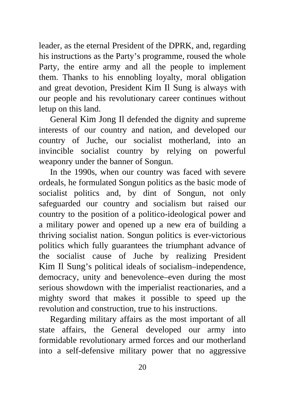leader, as the eternal President of the DPRK, and, regarding his instructions as the Party's programme, roused the whole Party, the entire army and all the people to implement them. Thanks to his ennobling loyalty, moral obligation and great devotion, President Kim Il Sung is always with our people and his revolutionary career continues without letup on this land.

General Kim Jong Il defended the dignity and supreme interests of our country and nation, and developed our country of Juche, our socialist motherland, into an invincible socialist country by relying on powerful weaponry under the banner of Songun.

In the 1990s, when our country was faced with severe ordeals, he formulated Songun politics as the basic mode of socialist politics and, by dint of Songun, not only safeguarded our country and socialism but raised our country to the position of a politico-ideological power and a military power and opened up a new era of building a thriving socialist nation. Songun politics is ever-victorious politics which fully guarantees the triumphant advance of the socialist cause of Juche by realizing President Kim Il Sung's political ideals of socialism–independence, democracy, unity and benevolence–even during the most serious showdown with the imperialist reactionaries, and a mighty sword that makes it possible to speed up the revolution and construction, true to his instructions.

Regarding military affairs as the most important of all state affairs, the General developed our army into formidable revolutionary armed forces and our motherland into a self-defensive military power that no aggressive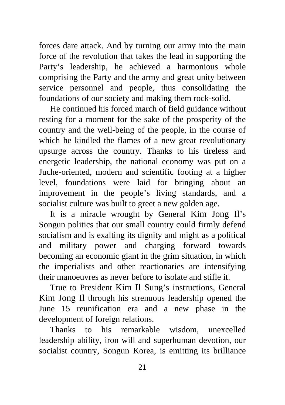forces dare attack. And by turning our army into the main force of the revolution that takes the lead in supporting the Party's leadership, he achieved a harmonious whole comprising the Party and the army and great unity between service personnel and people, thus consolidating the foundations of our society and making them rock-solid.

He continued his forced march of field guidance without resting for a moment for the sake of the prosperity of the country and the well-being of the people, in the course of which he kindled the flames of a new great revolutionary upsurge across the country. Thanks to his tireless and energetic leadership, the national economy was put on a Juche-oriented, modern and scientific footing at a higher level, foundations were laid for bringing about an improvement in the people's living standards, and a socialist culture was built to greet a new golden age.

It is a miracle wrought by General Kim Jong Il's Songun politics that our small country could firmly defend socialism and is exalting its dignity and might as a political and military power and charging forward towards becoming an economic giant in the grim situation, in which the imperialists and other reactionaries are intensifying their manoeuvres as never before to isolate and stifle it.

True to President Kim Il Sung's instructions, General Kim Jong Il through his strenuous leadership opened the June 15 reunification era and a new phase in the development of foreign relations.

Thanks to his remarkable wisdom, unexcelled leadership ability, iron will and superhuman devotion, our socialist country, Songun Korea, is emitting its brilliance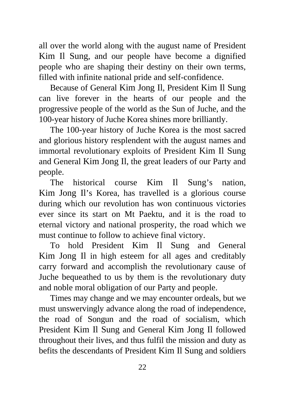all over the world along with the august name of President Kim Il Sung, and our people have become a dignified people who are shaping their destiny on their own terms, filled with infinite national pride and self-confidence.

Because of General Kim Jong Il, President Kim Il Sung can live forever in the hearts of our people and the progressive people of the world as the Sun of Juche, and the 100-year history of Juche Korea shines more brilliantly.

The 100-year history of Juche Korea is the most sacred and glorious history resplendent with the august names and immortal revolutionary exploits of President Kim Il Sung and General Kim Jong Il, the great leaders of our Party and people.

The historical course Kim Il Sung's nation, Kim Jong Il's Korea, has travelled is a glorious course during which our revolution has won continuous victories ever since its start on Mt Paektu, and it is the road to eternal victory and national prosperity, the road which we must continue to follow to achieve final victory.

To hold President Kim Il Sung and General Kim Jong Il in high esteem for all ages and creditably carry forward and accomplish the revolutionary cause of Juche bequeathed to us by them is the revolutionary duty and noble moral obligation of our Party and people.

Times may change and we may encounter ordeals, but we must unswervingly advance along the road of independence, the road of Songun and the road of socialism, which President Kim Il Sung and General Kim Jong Il followed throughout their lives, and thus fulfil the mission and duty as befits the descendants of President Kim Il Sung and soldiers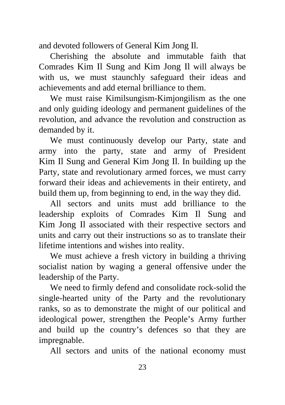and devoted followers of General Kim Jong Il.

Cherishing the absolute and immutable faith that Comrades Kim Il Sung and Kim Jong Il will always be with us, we must staunchly safeguard their ideas and achievements and add eternal brilliance to them.

We must raise Kimilsungism-Kimjongilism as the one and only guiding ideology and permanent guidelines of the revolution, and advance the revolution and construction as demanded by it.

We must continuously develop our Party, state and army into the party, state and army of President Kim Il Sung and General Kim Jong Il. In building up the Party, state and revolutionary armed forces, we must carry forward their ideas and achievements in their entirety, and build them up, from beginning to end, in the way they did.

All sectors and units must add brilliance to the leadership exploits of Comrades Kim Il Sung and Kim Jong Il associated with their respective sectors and units and carry out their instructions so as to translate their lifetime intentions and wishes into reality.

We must achieve a fresh victory in building a thriving socialist nation by waging a general offensive under the leadership of the Party.

We need to firmly defend and consolidate rock-solid the single-hearted unity of the Party and the revolutionary ranks, so as to demonstrate the might of our political and ideological power, strengthen the People's Army further and build up the country's defences so that they are impregnable.

All sectors and units of the national economy must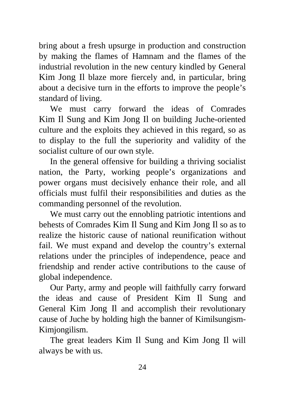bring about a fresh upsurge in production and construction by making the flames of Hamnam and the flames of the industrial revolution in the new century kindled by General Kim Jong Il blaze more fiercely and, in particular, bring about a decisive turn in the efforts to improve the people's standard of living.

We must carry forward the ideas of Comrades Kim Il Sung and Kim Jong Il on building Juche-oriented culture and the exploits they achieved in this regard, so as to display to the full the superiority and validity of the socialist culture of our own style.

In the general offensive for building a thriving socialist nation, the Party, working people's organizations and power organs must decisively enhance their role, and all officials must fulfil their responsibilities and duties as the commanding personnel of the revolution.

We must carry out the ennobling patriotic intentions and behests of Comrades Kim Il Sung and Kim Jong Il so as to realize the historic cause of national reunification without fail. We must expand and develop the country's external relations under the principles of independence, peace and friendship and render active contributions to the cause of global independence.

Our Party, army and people will faithfully carry forward the ideas and cause of President Kim Il Sung and General Kim Jong Il and accomplish their revolutionary cause of Juche by holding high the banner of Kimilsungism-Kimjongilism.

The great leaders Kim Il Sung and Kim Jong Il will always be with us.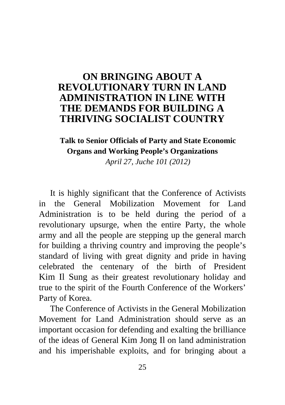# <span id="page-27-0"></span>**ON BRINGING ABOUT A [REVOLUTIONARY TURN IN LAND](#page-2-0)  ADMINISTRATION IN LINE WITH THE DEMANDS FOR BUILDING A THRIVING SOCIALIST COUNTRY**

# **Talk to Senior Officials of Party and State Economic Organs and Working People's Organizations**

*April 27, Juche 101 (2012)* 

It is highly significant that the Conference of Activists in the General Mobilization Movement for Land Administration is to be held during the period of a revolutionary upsurge, when the entire Party, the whole army and all the people are stepping up the general march for building a thriving country and improving the people's standard of living with great dignity and pride in having celebrated the centenary of the birth of President Kim Il Sung as their greatest revolutionary holiday and true to the spirit of the Fourth Conference of the Workers' Party of Korea.

The Conference of Activists in the General Mobilization Movement for Land Administration should serve as an important occasion for defending and exalting the brilliance of the ideas of General Kim Jong Il on land administration and his imperishable exploits, and for bringing about a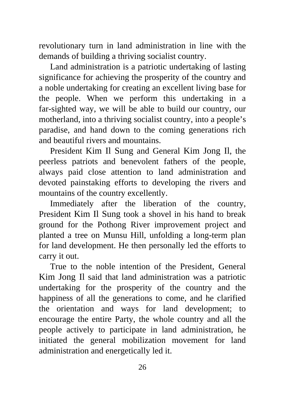revolutionary turn in land administration in line with the demands of building a thriving socialist country.

Land administration is a patriotic undertaking of lasting significance for achieving the prosperity of the country and a noble undertaking for creating an excellent living base for the people. When we perform this undertaking in a far-sighted way, we will be able to build our country, our motherland, into a thriving socialist country, into a people's paradise, and hand down to the coming generations rich and beautiful rivers and mountains.

President Kim Il Sung and General Kim Jong Il, the peerless patriots and benevolent fathers of the people, always paid close attention to land administration and devoted painstaking efforts to developing the rivers and mountains of the country excellently.

Immediately after the liberation of the country, President Kim Il Sung took a shovel in his hand to break ground for the Pothong River improvement project and planted a tree on Munsu Hill, unfolding a long-term plan for land development. He then personally led the efforts to carry it out.

True to the noble intention of the President, General Kim Jong Il said that land administration was a patriotic undertaking for the prosperity of the country and the happiness of all the generations to come, and he clarified the orientation and ways for land development; to encourage the entire Party, the whole country and all the people actively to participate in land administration, he initiated the general mobilization movement for land administration and energetically led it.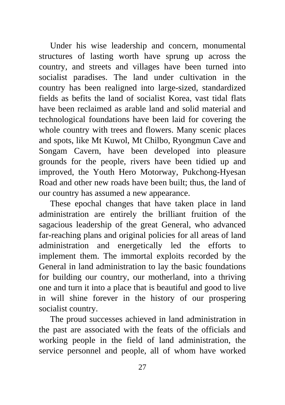Under his wise leadership and concern, monumental structures of lasting worth have sprung up across the country, and streets and villages have been turned into socialist paradises. The land under cultivation in the country has been realigned into large-sized, standardized fields as befits the land of socialist Korea, vast tidal flats have been reclaimed as arable land and solid material and technological foundations have been laid for covering the whole country with trees and flowers. Many scenic places and spots, like Mt Kuwol, Mt Chilbo, Ryongmun Cave and Songam Cavern, have been developed into pleasure grounds for the people, rivers have been tidied up and improved, the Youth Hero Motorway, Pukchong-Hyesan Road and other new roads have been built; thus, the land of our country has assumed a new appearance.

These epochal changes that have taken place in land administration are entirely the brilliant fruition of the sagacious leadership of the great General, who advanced far-reaching plans and original policies for all areas of land administration and energetically led the efforts to implement them. The immortal exploits recorded by the General in land administration to lay the basic foundations for building our country, our motherland, into a thriving one and turn it into a place that is beautiful and good to live in will shine forever in the history of our prospering socialist country.

The proud successes achieved in land administration in the past are associated with the feats of the officials and working people in the field of land administration, the service personnel and people, all of whom have worked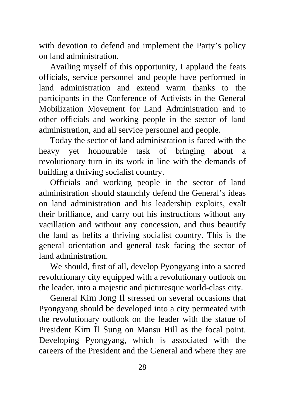with devotion to defend and implement the Party's policy on land administration.

Availing myself of this opportunity, I applaud the feats officials, service personnel and people have performed in land administration and extend warm thanks to the participants in the Conference of Activists in the General Mobilization Movement for Land Administration and to other officials and working people in the sector of land administration, and all service personnel and people.

Today the sector of land administration is faced with the heavy yet honourable task of bringing about a revolutionary turn in its work in line with the demands of building a thriving socialist country.

Officials and working people in the sector of land administration should staunchly defend the General's ideas on land administration and his leadership exploits, exalt their brilliance, and carry out his instructions without any vacillation and without any concession, and thus beautify the land as befits a thriving socialist country. This is the general orientation and general task facing the sector of land administration.

We should, first of all, develop Pyongyang into a sacred revolutionary city equipped with a revolutionary outlook on the leader, into a majestic and picturesque world-class city.

General Kim Jong Il stressed on several occasions that Pyongyang should be developed into a city permeated with the revolutionary outlook on the leader with the statue of President Kim Il Sung on Mansu Hill as the focal point. Developing Pyongyang, which is associated with the careers of the President and the General and where they are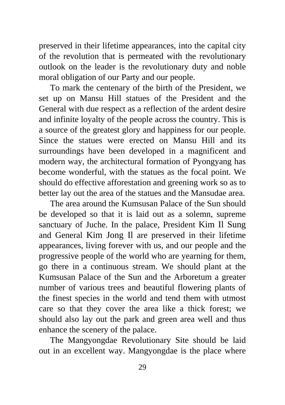preserved in their lifetime appearances, into the capital city of the revolution that is permeated with the revolutionary outlook on the leader is the revolutionary duty and noble moral obligation of our Party and our people.

To mark the centenary of the birth of the President, we set up on Mansu Hill statues of the President and the General with due respect as a reflection of the ardent desire and infinite loyalty of the people across the country. This is a source of the greatest glory and happiness for our people. Since the statues were erected on Mansu Hill and its surroundings have been developed in a magnificent and modern way, the architectural formation of Pyongyang has become wonderful, with the statues as the focal point. We should do effective afforestation and greening work so as to better lay out the area of the statues and the Mansudae area.

The area around the Kumsusan Palace of the Sun should be developed so that it is laid out as a solemn, supreme sanctuary of Juche. In the palace, President Kim Il Sung and General Kim Jong Il are preserved in their lifetime appearances, living forever with us, and our people and the progressive people of the world who are yearning for them, go there in a continuous stream. We should plant at the Kumsusan Palace of the Sun and the Arboretum a greater number of various trees and beautiful flowering plants of the finest species in the world and tend them with utmost care so that they cover the area like a thick forest; we should also lay out the park and green area well and thus enhance the scenery of the palace.

The Mangyongdae Revolutionary Site should be laid out in an excellent way. Mangyongdae is the place where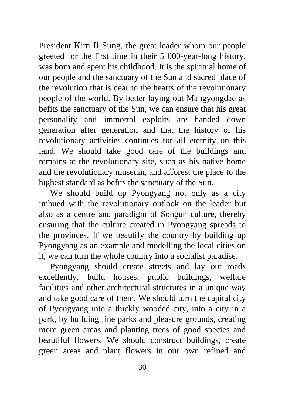President Kim Il Sung, the great leader whom our people greeted for the first time in their 5 000-year-long history, was born and spent his childhood. It is the spiritual home of our people and the sanctuary of the Sun and sacred place of the revolution that is dear to the hearts of the revolutionary people of the world. By better laying out Mangyongdae as befits the sanctuary of the Sun, we can ensure that his great personality and immortal exploits are handed down generation after generation and that the history of his revolutionary activities continues for all eternity on this land. We should take good care of the buildings and remains at the revolutionary site, such as his native home and the revolutionary museum, and afforest the place to the highest standard as befits the sanctuary of the Sun.

We should build up Pyongyang not only as a city imbued with the revolutionary outlook on the leader but also as a centre and paradigm of Songun culture, thereby ensuring that the culture created in Pyongyang spreads to the provinces. If we beautify the country by building up Pyongyang as an example and modelling the local cities on it, we can turn the whole country into a socialist paradise.

Pyongyang should create streets and lay out roads excellently, build houses, public buildings, welfare facilities and other architectural structures in a unique way and take good care of them. We should turn the capital city of Pyongyang into a thickly wooded city, into a city in a park, by building fine parks and pleasure grounds, creating more green areas and planting trees of good species and beautiful flowers. We should construct buildings, create green areas and plant flowers in our own refined and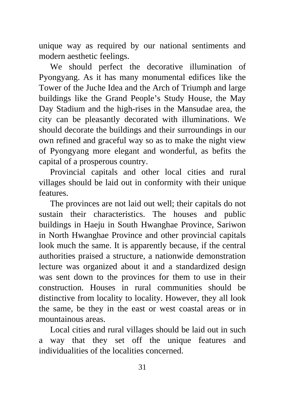unique way as required by our national sentiments and modern aesthetic feelings.

We should perfect the decorative illumination of Pyongyang. As it has many monumental edifices like the Tower of the Juche Idea and the Arch of Triumph and large buildings like the Grand People's Study House, the May Day Stadium and the high-rises in the Mansudae area, the city can be pleasantly decorated with illuminations. We should decorate the buildings and their surroundings in our own refined and graceful way so as to make the night view of Pyongyang more elegant and wonderful, as befits the capital of a prosperous country.

Provincial capitals and other local cities and rural villages should be laid out in conformity with their unique features.

The provinces are not laid out well; their capitals do not sustain their characteristics. The houses and public buildings in Haeju in South Hwanghae Province, Sariwon in North Hwanghae Province and other provincial capitals look much the same. It is apparently because, if the central authorities praised a structure, a nationwide demonstration lecture was organized about it and a standardized design was sent down to the provinces for them to use in their construction. Houses in rural communities should be distinctive from locality to locality. However, they all look the same, be they in the east or west coastal areas or in mountainous areas.

Local cities and rural villages should be laid out in such a way that they set off the unique features and individualities of the localities concerned.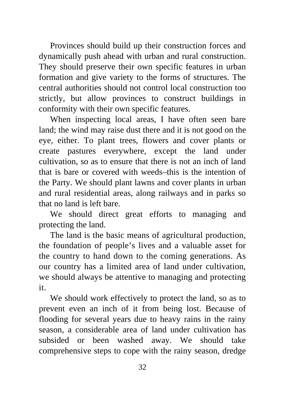Provinces should build up their construction forces and dynamically push ahead with urban and rural construction. They should preserve their own specific features in urban formation and give variety to the forms of structures. The central authorities should not control local construction too strictly, but allow provinces to construct buildings in conformity with their own specific features.

When inspecting local areas, I have often seen bare land; the wind may raise dust there and it is not good on the eye, either. To plant trees, flowers and cover plants or create pastures everywhere, except the land under cultivation, so as to ensure that there is not an inch of land that is bare or covered with weeds–this is the intention of the Party. We should plant lawns and cover plants in urban and rural residential areas, along railways and in parks so that no land is left bare.

We should direct great efforts to managing and protecting the land.

The land is the basic means of agricultural production, the foundation of people's lives and a valuable asset for the country to hand down to the coming generations. As our country has a limited area of land under cultivation, we should always be attentive to managing and protecting it.

We should work effectively to protect the land, so as to prevent even an inch of it from being lost. Because of flooding for several years due to heavy rains in the rainy season, a considerable area of land under cultivation has subsided or been washed away. We should take comprehensive steps to cope with the rainy season, dredge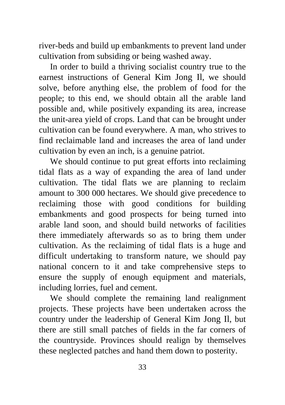river-beds and build up embankments to prevent land under cultivation from subsiding or being washed away.

In order to build a thriving socialist country true to the earnest instructions of General Kim Jong Il, we should solve, before anything else, the problem of food for the people; to this end, we should obtain all the arable land possible and, while positively expanding its area, increase the unit-area yield of crops. Land that can be brought under cultivation can be found everywhere. A man, who strives to find reclaimable land and increases the area of land under cultivation by even an inch, is a genuine patriot.

We should continue to put great efforts into reclaiming tidal flats as a way of expanding the area of land under cultivation. The tidal flats we are planning to reclaim amount to 300 000 hectares. We should give precedence to reclaiming those with good conditions for building embankments and good prospects for being turned into arable land soon, and should build networks of facilities there immediately afterwards so as to bring them under cultivation. As the reclaiming of tidal flats is a huge and difficult undertaking to transform nature, we should pay national concern to it and take comprehensive steps to ensure the supply of enough equipment and materials, including lorries, fuel and cement.

We should complete the remaining land realignment projects. These projects have been undertaken across the country under the leadership of General Kim Jong Il, but there are still small patches of fields in the far corners of the countryside. Provinces should realign by themselves these neglected patches and hand them down to posterity.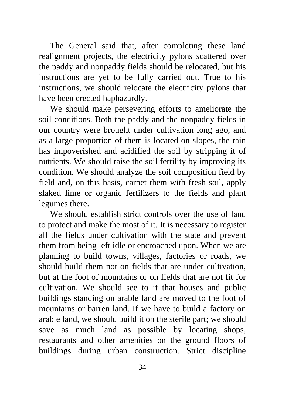The General said that, after completing these land realignment projects, the electricity pylons scattered over the paddy and nonpaddy fields should be relocated, but his instructions are yet to be fully carried out. True to his instructions, we should relocate the electricity pylons that have been erected haphazardly.

We should make persevering efforts to ameliorate the soil conditions. Both the paddy and the nonpaddy fields in our country were brought under cultivation long ago, and as a large proportion of them is located on slopes, the rain has impoverished and acidified the soil by stripping it of nutrients. We should raise the soil fertility by improving its condition. We should analyze the soil composition field by field and, on this basis, carpet them with fresh soil, apply slaked lime or organic fertilizers to the fields and plant legumes there.

We should establish strict controls over the use of land to protect and make the most of it. It is necessary to register all the fields under cultivation with the state and prevent them from being left idle or encroached upon. When we are planning to build towns, villages, factories or roads, we should build them not on fields that are under cultivation, but at the foot of mountains or on fields that are not fit for cultivation. We should see to it that houses and public buildings standing on arable land are moved to the foot of mountains or barren land. If we have to build a factory on arable land, we should build it on the sterile part; we should save as much land as possible by locating shops, restaurants and other amenities on the ground floors of buildings during urban construction. Strict discipline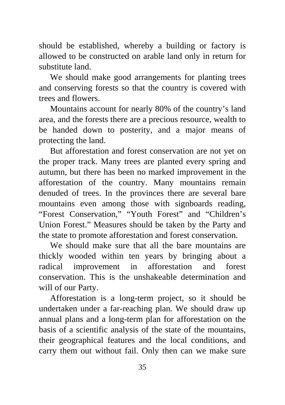should be established, whereby a building or factory is allowed to be constructed on arable land only in return for substitute land.

We should make good arrangements for planting trees and conserving forests so that the country is covered with trees and flowers.

Mountains account for nearly 80% of the country's land area, and the forests there are a precious resource, wealth to be handed down to posterity, and a major means of protecting the land.

But afforestation and forest conservation are not yet on the proper track. Many trees are planted every spring and autumn, but there has been no marked improvement in the afforestation of the country. Many mountains remain denuded of trees. In the provinces there are several bare mountains even among those with signboards reading, "Forest Conservation," "Youth Forest" and "Children's Union Forest." Measures should be taken by the Party and the state to promote afforestation and forest conservation.

We should make sure that all the bare mountains are thickly wooded within ten years by bringing about a radical improvement in afforestation and forest conservation. This is the unshakeable determination and will of our Party.

Afforestation is a long-term project, so it should be undertaken under a far-reaching plan. We should draw up annual plans and a long-term plan for afforestation on the basis of a scientific analysis of the state of the mountains, their geographical features and the local conditions, and carry them out without fail. Only then can we make sure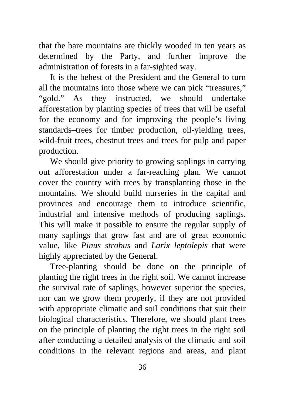that the bare mountains are thickly wooded in ten years as determined by the Party, and further improve the administration of forests in a far-sighted way.

It is the behest of the President and the General to turn all the mountains into those where we can pick "treasures," "gold." As they instructed, we should undertake afforestation by planting species of trees that will be useful for the economy and for improving the people's living standards–trees for timber production, oil-yielding trees, wild-fruit trees, chestnut trees and trees for pulp and paper production.

We should give priority to growing saplings in carrying out afforestation under a far-reaching plan. We cannot cover the country with trees by transplanting those in the mountains. We should build nurseries in the capital and provinces and encourage them to introduce scientific, industrial and intensive methods of producing saplings. This will make it possible to ensure the regular supply of many saplings that grow fast and are of great economic value, like *Pinus strobus* and *Larix leptolepis* that were highly appreciated by the General.

Tree-planting should be done on the principle of planting the right trees in the right soil. We cannot increase the survival rate of saplings, however superior the species, nor can we grow them properly, if they are not provided with appropriate climatic and soil conditions that suit their biological characteristics. Therefore, we should plant trees on the principle of planting the right trees in the right soil after conducting a detailed analysis of the climatic and soil conditions in the relevant regions and areas, and plant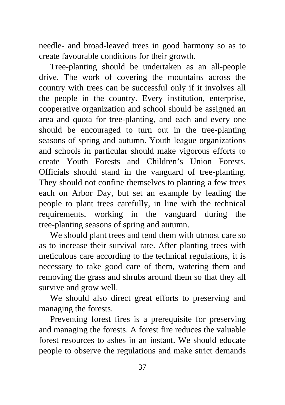needle- and broad-leaved trees in good harmony so as to create favourable conditions for their growth.

Tree-planting should be undertaken as an all-people drive. The work of covering the mountains across the country with trees can be successful only if it involves all the people in the country. Every institution, enterprise, cooperative organization and school should be assigned an area and quota for tree-planting, and each and every one should be encouraged to turn out in the tree-planting seasons of spring and autumn. Youth league organizations and schools in particular should make vigorous efforts to create Youth Forests and Children's Union Forests. Officials should stand in the vanguard of tree-planting. They should not confine themselves to planting a few trees each on Arbor Day, but set an example by leading the people to plant trees carefully, in line with the technical requirements, working in the vanguard during the tree-planting seasons of spring and autumn.

We should plant trees and tend them with utmost care so as to increase their survival rate. After planting trees with meticulous care according to the technical regulations, it is necessary to take good care of them, watering them and removing the grass and shrubs around them so that they all survive and grow well.

We should also direct great efforts to preserving and managing the forests.

Preventing forest fires is a prerequisite for preserving and managing the forests. A forest fire reduces the valuable forest resources to ashes in an instant. We should educate people to observe the regulations and make strict demands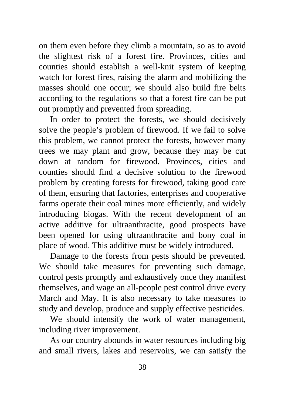on them even before they climb a mountain, so as to avoid the slightest risk of a forest fire. Provinces, cities and counties should establish a well-knit system of keeping watch for forest fires, raising the alarm and mobilizing the masses should one occur; we should also build fire belts according to the regulations so that a forest fire can be put out promptly and prevented from spreading.

In order to protect the forests, we should decisively solve the people's problem of firewood. If we fail to solve this problem, we cannot protect the forests, however many trees we may plant and grow, because they may be cut down at random for firewood. Provinces, cities and counties should find a decisive solution to the firewood problem by creating forests for firewood, taking good care of them, ensuring that factories, enterprises and cooperative farms operate their coal mines more efficiently, and widely introducing biogas. With the recent development of an active additive for ultraanthracite, good prospects have been opened for using ultraanthracite and bony coal in place of wood. This additive must be widely introduced.

Damage to the forests from pests should be prevented. We should take measures for preventing such damage, control pests promptly and exhaustively once they manifest themselves, and wage an all-people pest control drive every March and May. It is also necessary to take measures to study and develop, produce and supply effective pesticides.

We should intensify the work of water management, including river improvement.

As our country abounds in water resources including big and small rivers, lakes and reservoirs, we can satisfy the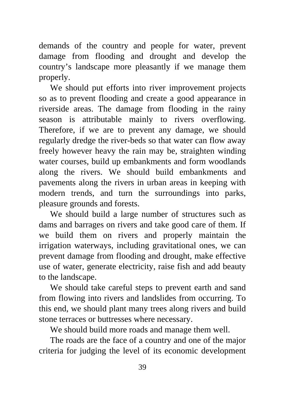demands of the country and people for water, prevent damage from flooding and drought and develop the country's landscape more pleasantly if we manage them properly.

We should put efforts into river improvement projects so as to prevent flooding and create a good appearance in riverside areas. The damage from flooding in the rainy season is attributable mainly to rivers overflowing. Therefore, if we are to prevent any damage, we should regularly dredge the river-beds so that water can flow away freely however heavy the rain may be, straighten winding water courses, build up embankments and form woodlands along the rivers. We should build embankments and pavements along the rivers in urban areas in keeping with modern trends, and turn the surroundings into parks, pleasure grounds and forests.

We should build a large number of structures such as dams and barrages on rivers and take good care of them. If we build them on rivers and properly maintain the irrigation waterways, including gravitational ones, we can prevent damage from flooding and drought, make effective use of water, generate electricity, raise fish and add beauty to the landscape.

We should take careful steps to prevent earth and sand from flowing into rivers and landslides from occurring. To this end, we should plant many trees along rivers and build stone terraces or buttresses where necessary.

We should build more roads and manage them well.

The roads are the face of a country and one of the major criteria for judging the level of its economic development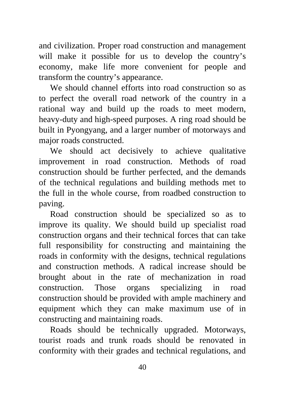and civilization. Proper road construction and management will make it possible for us to develop the country's economy, make life more convenient for people and transform the country's appearance.

We should channel efforts into road construction so as to perfect the overall road network of the country in a rational way and build up the roads to meet modern, heavy-duty and high-speed purposes. A ring road should be built in Pyongyang, and a larger number of motorways and major roads constructed.

We should act decisively to achieve qualitative improvement in road construction. Methods of road construction should be further perfected, and the demands of the technical regulations and building methods met to the full in the whole course, from roadbed construction to paving.

Road construction should be specialized so as to improve its quality. We should build up specialist road construction organs and their technical forces that can take full responsibility for constructing and maintaining the roads in conformity with the designs, technical regulations and construction methods. A radical increase should be brought about in the rate of mechanization in road construction. Those organs specializing in road construction should be provided with ample machinery and equipment which they can make maximum use of in constructing and maintaining roads.

Roads should be technically upgraded. Motorways, tourist roads and trunk roads should be renovated in conformity with their grades and technical regulations, and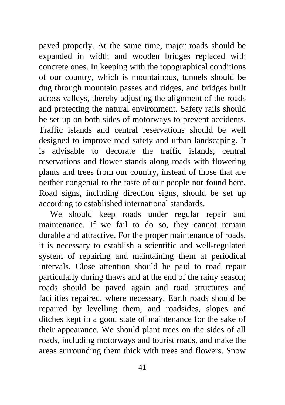paved properly. At the same time, major roads should be expanded in width and wooden bridges replaced with concrete ones. In keeping with the topographical conditions of our country, which is mountainous, tunnels should be dug through mountain passes and ridges, and bridges built across valleys, thereby adjusting the alignment of the roads and protecting the natural environment. Safety rails should be set up on both sides of motorways to prevent accidents. Traffic islands and central reservations should be well designed to improve road safety and urban landscaping. It is advisable to decorate the traffic islands, central reservations and flower stands along roads with flowering plants and trees from our country, instead of those that are neither congenial to the taste of our people nor found here. Road signs, including direction signs, should be set up according to established international standards.

We should keep roads under regular repair and maintenance. If we fail to do so, they cannot remain durable and attractive. For the proper maintenance of roads, it is necessary to establish a scientific and well-regulated system of repairing and maintaining them at periodical intervals. Close attention should be paid to road repair particularly during thaws and at the end of the rainy season; roads should be paved again and road structures and facilities repaired, where necessary. Earth roads should be repaired by levelling them, and roadsides, slopes and ditches kept in a good state of maintenance for the sake of their appearance. We should plant trees on the sides of all roads, including motorways and tourist roads, and make the areas surrounding them thick with trees and flowers. Snow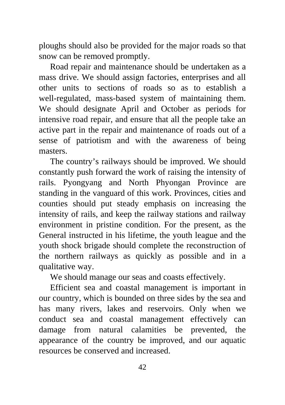ploughs should also be provided for the major roads so that snow can be removed promptly.

Road repair and maintenance should be undertaken as a mass drive. We should assign factories, enterprises and all other units to sections of roads so as to establish a well-regulated, mass-based system of maintaining them. We should designate April and October as periods for intensive road repair, and ensure that all the people take an active part in the repair and maintenance of roads out of a sense of patriotism and with the awareness of being masters.

The country's railways should be improved. We should constantly push forward the work of raising the intensity of rails. Pyongyang and North Phyongan Province are standing in the vanguard of this work. Provinces, cities and counties should put steady emphasis on increasing the intensity of rails, and keep the railway stations and railway environment in pristine condition. For the present, as the General instructed in his lifetime, the youth league and the youth shock brigade should complete the reconstruction of the northern railways as quickly as possible and in a qualitative way.

We should manage our seas and coasts effectively.

Efficient sea and coastal management is important in our country, which is bounded on three sides by the sea and has many rivers, lakes and reservoirs. Only when we conduct sea and coastal management effectively can damage from natural calamities be prevented, the appearance of the country be improved, and our aquatic resources be conserved and increased.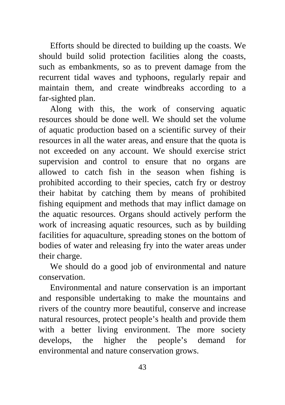Efforts should be directed to building up the coasts. We should build solid protection facilities along the coasts, such as embankments, so as to prevent damage from the recurrent tidal waves and typhoons, regularly repair and maintain them, and create windbreaks according to a far-sighted plan.

Along with this, the work of conserving aquatic resources should be done well. We should set the volume of aquatic production based on a scientific survey of their resources in all the water areas, and ensure that the quota is not exceeded on any account. We should exercise strict supervision and control to ensure that no organs are allowed to catch fish in the season when fishing is prohibited according to their species, catch fry or destroy their habitat by catching them by means of prohibited fishing equipment and methods that may inflict damage on the aquatic resources. Organs should actively perform the work of increasing aquatic resources, such as by building facilities for aquaculture, spreading stones on the bottom of bodies of water and releasing fry into the water areas under their charge.

We should do a good job of environmental and nature conservation.

Environmental and nature conservation is an important and responsible undertaking to make the mountains and rivers of the country more beautiful, conserve and increase natural resources, protect people's health and provide them with a better living environment. The more society develops, the higher the people's demand for environmental and nature conservation grows.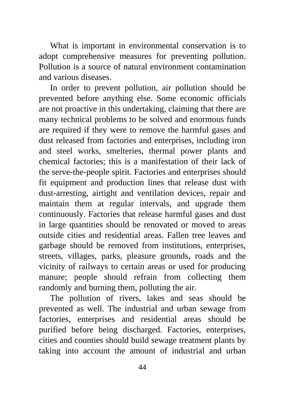What is important in environmental conservation is to adopt comprehensive measures for preventing pollution. Pollution is a source of natural environment contamination and various diseases.

In order to prevent pollution, air pollution should be prevented before anything else. Some economic officials are not proactive in this undertaking, claiming that there are many technical problems to be solved and enormous funds are required if they were to remove the harmful gases and dust released from factories and enterprises, including iron and steel works, smelteries, thermal power plants and chemical factories; this is a manifestation of their lack of the serve-the-people spirit. Factories and enterprises should fit equipment and production lines that release dust with dust-arresting, airtight and ventilation devices, repair and maintain them at regular intervals, and upgrade them continuously. Factories that release harmful gases and dust in large quantities should be renovated or moved to areas outside cities and residential areas. Fallen tree leaves and garbage should be removed from institutions, enterprises, streets, villages, parks, pleasure grounds, roads and the vicinity of railways to certain areas or used for producing manure; people should refrain from collecting them randomly and burning them, polluting the air.

The pollution of rivers, lakes and seas should be prevented as well. The industrial and urban sewage from factories, enterprises and residential areas should be purified before being discharged. Factories, enterprises, cities and counties should build sewage treatment plants by taking into account the amount of industrial and urban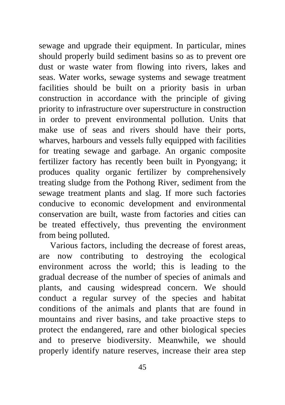sewage and upgrade their equipment. In particular, mines should properly build sediment basins so as to prevent ore dust or waste water from flowing into rivers, lakes and seas. Water works, sewage systems and sewage treatment facilities should be built on a priority basis in urban construction in accordance with the principle of giving priority to infrastructure over superstructure in construction in order to prevent environmental pollution. Units that make use of seas and rivers should have their ports, wharves, harbours and vessels fully equipped with facilities for treating sewage and garbage. An organic composite fertilizer factory has recently been built in Pyongyang; it produces quality organic fertilizer by comprehensively treating sludge from the Pothong River, sediment from the sewage treatment plants and slag. If more such factories conducive to economic development and environmental conservation are built, waste from factories and cities can be treated effectively, thus preventing the environment from being polluted.

Various factors, including the decrease of forest areas, are now contributing to destroying the ecological environment across the world; this is leading to the gradual decrease of the number of species of animals and plants, and causing widespread concern. We should conduct a regular survey of the species and habitat conditions of the animals and plants that are found in mountains and river basins, and take proactive steps to protect the endangered, rare and other biological species and to preserve biodiversity. Meanwhile, we should properly identify nature reserves, increase their area step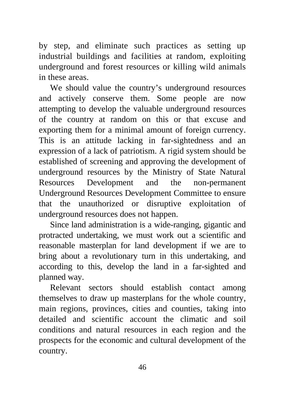by step, and eliminate such practices as setting up industrial buildings and facilities at random, exploiting underground and forest resources or killing wild animals in these areas.

We should value the country's underground resources and actively conserve them. Some people are now attempting to develop the valuable underground resources of the country at random on this or that excuse and exporting them for a minimal amount of foreign currency. This is an attitude lacking in far-sightedness and an expression of a lack of patriotism. A rigid system should be established of screening and approving the development of underground resources by the Ministry of State Natural Resources Development and the non-permanent Underground Resources Development Committee to ensure that the unauthorized or disruptive exploitation of underground resources does not happen.

Since land administration is a wide-ranging, gigantic and protracted undertaking, we must work out a scientific and reasonable masterplan for land development if we are to bring about a revolutionary turn in this undertaking, and according to this, develop the land in a far-sighted and planned way.

Relevant sectors should establish contact among themselves to draw up masterplans for the whole country, main regions, provinces, cities and counties, taking into detailed and scientific account the climatic and soil conditions and natural resources in each region and the prospects for the economic and cultural development of the country.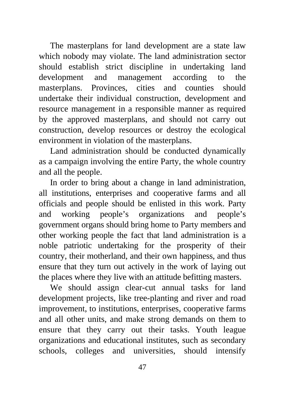The masterplans for land development are a state law which nobody may violate. The land administration sector should establish strict discipline in undertaking land development and management according to the masterplans. Provinces, cities and counties should undertake their individual construction, development and resource management in a responsible manner as required by the approved masterplans, and should not carry out construction, develop resources or destroy the ecological environment in violation of the masterplans.

Land administration should be conducted dynamically as a campaign involving the entire Party, the whole country and all the people.

In order to bring about a change in land administration, all institutions, enterprises and cooperative farms and all officials and people should be enlisted in this work. Party and working people's organizations and people's government organs should bring home to Party members and other working people the fact that land administration is a noble patriotic undertaking for the prosperity of their country, their motherland, and their own happiness, and thus ensure that they turn out actively in the work of laying out the places where they live with an attitude befitting masters.

We should assign clear-cut annual tasks for land development projects, like tree-planting and river and road improvement, to institutions, enterprises, cooperative farms and all other units, and make strong demands on them to ensure that they carry out their tasks. Youth league organizations and educational institutes, such as secondary schools, colleges and universities, should intensify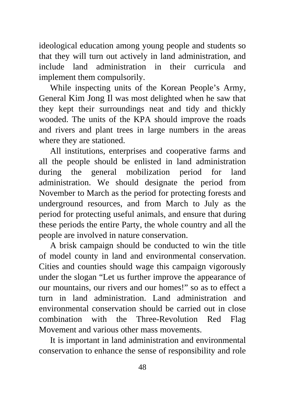ideological education among young people and students so that they will turn out actively in land administration, and include land administration in their curricula and implement them compulsorily.

While inspecting units of the Korean People's Army, General Kim Jong Il was most delighted when he saw that they kept their surroundings neat and tidy and thickly wooded. The units of the KPA should improve the roads and rivers and plant trees in large numbers in the areas where they are stationed.

All institutions, enterprises and cooperative farms and all the people should be enlisted in land administration during the general mobilization period for land administration. We should designate the period from November to March as the period for protecting forests and underground resources, and from March to July as the period for protecting useful animals, and ensure that during these periods the entire Party, the whole country and all the people are involved in nature conservation.

A brisk campaign should be conducted to win the title of model county in land and environmental conservation. Cities and counties should wage this campaign vigorously under the slogan "Let us further improve the appearance of our mountains, our rivers and our homes!" so as to effect a turn in land administration. Land administration and environmental conservation should be carried out in close combination with the Three-Revolution Red Flag Movement and various other mass movements.

It is important in land administration and environmental conservation to enhance the sense of responsibility and role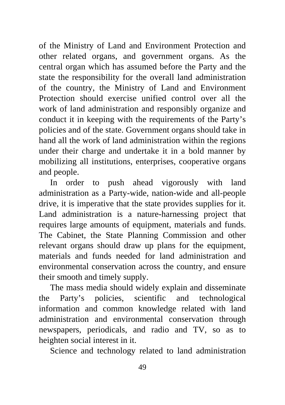of the Ministry of Land and Environment Protection and other related organs, and government organs. As the central organ which has assumed before the Party and the state the responsibility for the overall land administration of the country, the Ministry of Land and Environment Protection should exercise unified control over all the work of land administration and responsibly organize and conduct it in keeping with the requirements of the Party's policies and of the state. Government organs should take in hand all the work of land administration within the regions under their charge and undertake it in a bold manner by mobilizing all institutions, enterprises, cooperative organs and people.

In order to push ahead vigorously with land administration as a Party-wide, nation-wide and all-people drive, it is imperative that the state provides supplies for it. Land administration is a nature-harnessing project that requires large amounts of equipment, materials and funds. The Cabinet, the State Planning Commission and other relevant organs should draw up plans for the equipment, materials and funds needed for land administration and environmental conservation across the country, and ensure their smooth and timely supply.

The mass media should widely explain and disseminate the Party's policies, scientific and technological information and common knowledge related with land administration and environmental conservation through newspapers, periodicals, and radio and TV, so as to heighten social interest in it.

Science and technology related to land administration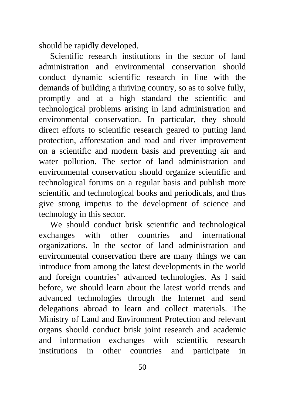should be rapidly developed.

Scientific research institutions in the sector of land administration and environmental conservation should conduct dynamic scientific research in line with the demands of building a thriving country, so as to solve fully, promptly and at a high standard the scientific and technological problems arising in land administration and environmental conservation. In particular, they should direct efforts to scientific research geared to putting land protection, afforestation and road and river improvement on a scientific and modern basis and preventing air and water pollution. The sector of land administration and environmental conservation should organize scientific and technological forums on a regular basis and publish more scientific and technological books and periodicals, and thus give strong impetus to the development of science and technology in this sector.

We should conduct brisk scientific and technological exchanges with other countries and international organizations. In the sector of land administration and environmental conservation there are many things we can introduce from among the latest developments in the world and foreign countries' advanced technologies. As I said before, we should learn about the latest world trends and advanced technologies through the Internet and send delegations abroad to learn and collect materials. The Ministry of Land and Environment Protection and relevant organs should conduct brisk joint research and academic and information exchanges with scientific research institutions in other countries and participate in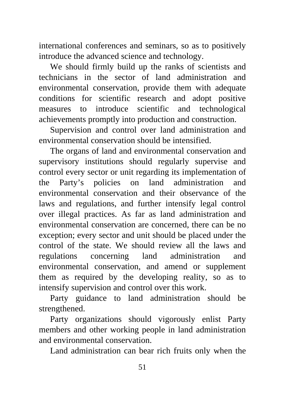international conferences and seminars, so as to positively introduce the advanced science and technology.

We should firmly build up the ranks of scientists and technicians in the sector of land administration and environmental conservation, provide them with adequate conditions for scientific research and adopt positive measures to introduce scientific and technological achievements promptly into production and construction.

Supervision and control over land administration and environmental conservation should be intensified.

The organs of land and environmental conservation and supervisory institutions should regularly supervise and control every sector or unit regarding its implementation of the Party's policies on land administration and environmental conservation and their observance of the laws and regulations, and further intensify legal control over illegal practices. As far as land administration and environmental conservation are concerned, there can be no exception; every sector and unit should be placed under the control of the state. We should review all the laws and regulations concerning land administration and environmental conservation, and amend or supplement them as required by the developing reality, so as to intensify supervision and control over this work.

Party guidance to land administration should be strengthened.

Party organizations should vigorously enlist Party members and other working people in land administration and environmental conservation.

Land administration can bear rich fruits only when the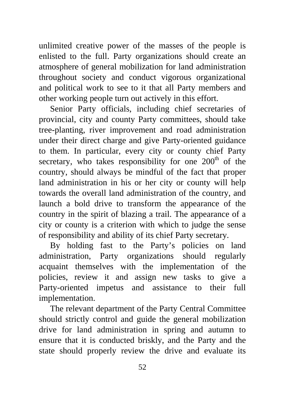unlimited creative power of the masses of the people is enlisted to the full. Party organizations should create an atmosphere of general mobilization for land administration throughout society and conduct vigorous organizational and political work to see to it that all Party members and other working people turn out actively in this effort.

Senior Party officials, including chief secretaries of provincial, city and county Party committees, should take tree-planting, river improvement and road administration under their direct charge and give Party-oriented guidance to them. In particular, every city or county chief Party secretary, who takes responsibility for one  $200<sup>th</sup>$  of the country, should always be mindful of the fact that proper land administration in his or her city or county will help towards the overall land administration of the country, and launch a bold drive to transform the appearance of the country in the spirit of blazing a trail. The appearance of a city or county is a criterion with which to judge the sense of responsibility and ability of its chief Party secretary.

By holding fast to the Party's policies on land administration, Party organizations should regularly acquaint themselves with the implementation of the policies, review it and assign new tasks to give a Party-oriented impetus and assistance to their full implementation.

The relevant department of the Party Central Committee should strictly control and guide the general mobilization drive for land administration in spring and autumn to ensure that it is conducted briskly, and the Party and the state should properly review the drive and evaluate its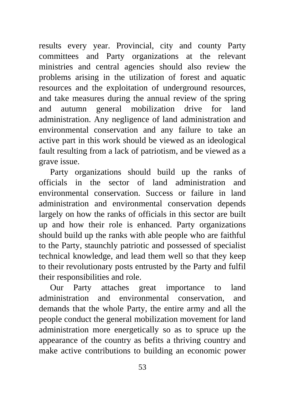results every year. Provincial, city and county Party committees and Party organizations at the relevant ministries and central agencies should also review the problems arising in the utilization of forest and aquatic resources and the exploitation of underground resources, and take measures during the annual review of the spring and autumn general mobilization drive for land administration. Any negligence of land administration and environmental conservation and any failure to take an active part in this work should be viewed as an ideological fault resulting from a lack of patriotism, and be viewed as a grave issue.

Party organizations should build up the ranks of officials in the sector of land administration and environmental conservation. Success or failure in land administration and environmental conservation depends largely on how the ranks of officials in this sector are built up and how their role is enhanced. Party organizations should build up the ranks with able people who are faithful to the Party, staunchly patriotic and possessed of specialist technical knowledge, and lead them well so that they keep to their revolutionary posts entrusted by the Party and fulfil their responsibilities and role.

Our Party attaches great importance to land administration and environmental conservation, and demands that the whole Party, the entire army and all the people conduct the general mobilization movement for land administration more energetically so as to spruce up the appearance of the country as befits a thriving country and make active contributions to building an economic power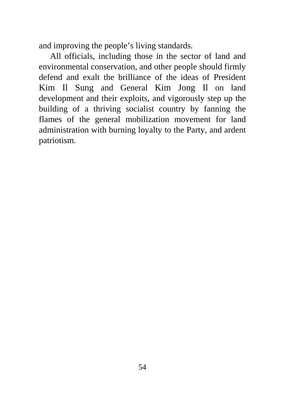and improving the people's living standards.

All officials, including those in the sector of land and environmental conservation, and other people should firmly defend and exalt the brilliance of the ideas of President Kim Il Sung and General Kim Jong Il on land development and their exploits, and vigorously step up the building of a thriving socialist country by fanning the flames of the general mobilization movement for land administration with burning loyalty to the Party, and ardent patriotism.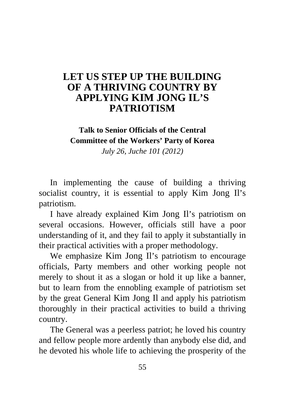## **[LET US STEP UP THE BUILDING](#page-2-0)  OF A THRIVING COUNTRY BY APPLYING KIM JONG IL'S PATRIOTISM**

## **Talk to Senior Officials of the Central Committee of the Workers' Party of Korea**

*July 26, Juche 101 (2012)* 

In implementing the cause of building a thriving socialist country, it is essential to apply Kim Jong Il's patriotism.

I have already explained Kim Jong Il's patriotism on several occasions. However, officials still have a poor understanding of it, and they fail to apply it substantially in their practical activities with a proper methodology.

We emphasize Kim Jong Il's patriotism to encourage officials, Party members and other working people not merely to shout it as a slogan or hold it up like a banner, but to learn from the ennobling example of patriotism set by the great General Kim Jong Il and apply his patriotism thoroughly in their practical activities to build a thriving country.

The General was a peerless patriot; he loved his country and fellow people more ardently than anybody else did, and he devoted his whole life to achieving the prosperity of the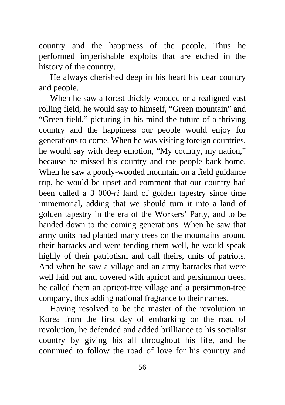country and the happiness of the people. Thus he performed imperishable exploits that are etched in the history of the country.

He always cherished deep in his heart his dear country and people.

When he saw a forest thickly wooded or a realigned vast rolling field, he would say to himself, "Green mountain" and "Green field," picturing in his mind the future of a thriving country and the happiness our people would enjoy for generations to come. When he was visiting foreign countries, he would say with deep emotion, "My country, my nation," because he missed his country and the people back home. When he saw a poorly-wooded mountain on a field guidance trip, he would be upset and comment that our country had been called a 3 000-*ri* land of golden tapestry since time immemorial, adding that we should turn it into a land of golden tapestry in the era of the Workers' Party, and to be handed down to the coming generations. When he saw that army units had planted many trees on the mountains around their barracks and were tending them well, he would speak highly of their patriotism and call theirs, units of patriots. And when he saw a village and an army barracks that were well laid out and covered with apricot and persimmon trees, he called them an apricot-tree village and a persimmon-tree company, thus adding national fragrance to their names.

Having resolved to be the master of the revolution in Korea from the first day of embarking on the road of revolution, he defended and added brilliance to his socialist country by giving his all throughout his life, and he continued to follow the road of love for his country and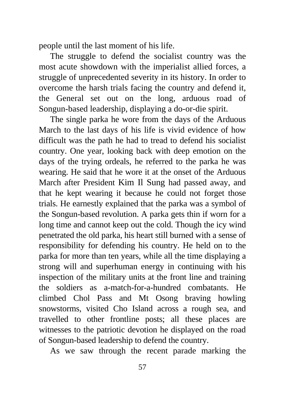people until the last moment of his life.

The struggle to defend the socialist country was the most acute showdown with the imperialist allied forces, a struggle of unprecedented severity in its history. In order to overcome the harsh trials facing the country and defend it, the General set out on the long, arduous road of Songun-based leadership, displaying a do-or-die spirit.

The single parka he wore from the days of the Arduous March to the last days of his life is vivid evidence of how difficult was the path he had to tread to defend his socialist country. One year, looking back with deep emotion on the days of the trying ordeals, he referred to the parka he was wearing. He said that he wore it at the onset of the Arduous March after President Kim Il Sung had passed away, and that he kept wearing it because he could not forget those trials. He earnestly explained that the parka was a symbol of the Songun-based revolution. A parka gets thin if worn for a long time and cannot keep out the cold. Though the icy wind penetrated the old parka, his heart still burned with a sense of responsibility for defending his country. He held on to the parka for more than ten years, while all the time displaying a strong will and superhuman energy in continuing with his inspection of the military units at the front line and training the soldiers as a-match-for-a-hundred combatants. He climbed Chol Pass and Mt Osong braving howling snowstorms, visited Cho Island across a rough sea, and travelled to other frontline posts; all these places are witnesses to the patriotic devotion he displayed on the road of Songun-based leadership to defend the country.

As we saw through the recent parade marking the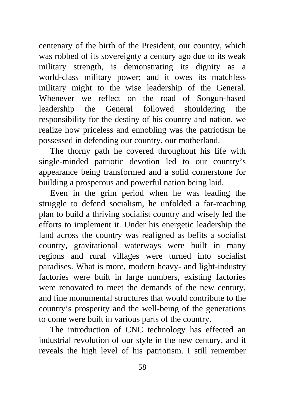centenary of the birth of the President, our country, which was robbed of its sovereignty a century ago due to its weak military strength, is demonstrating its dignity as a world-class military power; and it owes its matchless military might to the wise leadership of the General. Whenever we reflect on the road of Songun-based leadership the General followed shouldering the responsibility for the destiny of his country and nation, we realize how priceless and ennobling was the patriotism he possessed in defending our country, our motherland.

The thorny path he covered throughout his life with single-minded patriotic devotion led to our country's appearance being transformed and a solid cornerstone for building a prosperous and powerful nation being laid.

Even in the grim period when he was leading the struggle to defend socialism, he unfolded a far-reaching plan to build a thriving socialist country and wisely led the efforts to implement it. Under his energetic leadership the land across the country was realigned as befits a socialist country, gravitational waterways were built in many regions and rural villages were turned into socialist paradises. What is more, modern heavy- and light-industry factories were built in large numbers, existing factories were renovated to meet the demands of the new century, and fine monumental structures that would contribute to the country's prosperity and the well-being of the generations to come were built in various parts of the country.

The introduction of CNC technology has effected an industrial revolution of our style in the new century, and it reveals the high level of his patriotism. I still remember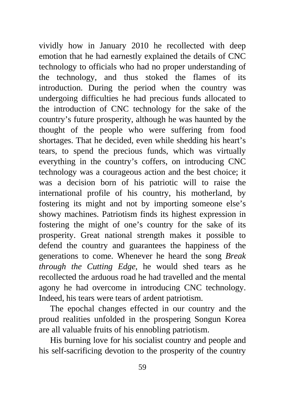vividly how in January 2010 he recollected with deep emotion that he had earnestly explained the details of CNC technology to officials who had no proper understanding of the technology, and thus stoked the flames of its introduction. During the period when the country was undergoing difficulties he had precious funds allocated to the introduction of CNC technology for the sake of the country's future prosperity, although he was haunted by the thought of the people who were suffering from food shortages. That he decided, even while shedding his heart's tears, to spend the precious funds, which was virtually everything in the country's coffers, on introducing CNC technology was a courageous action and the best choice; it was a decision born of his patriotic will to raise the international profile of his country, his motherland, by fostering its might and not by importing someone else's showy machines. Patriotism finds its highest expression in fostering the might of one's country for the sake of its prosperity. Great national strength makes it possible to defend the country and guarantees the happiness of the generations to come. Whenever he heard the song *Break through the Cutting Edge*, he would shed tears as he recollected the arduous road he had travelled and the mental agony he had overcome in introducing CNC technology. Indeed, his tears were tears of ardent patriotism.

The epochal changes effected in our country and the proud realities unfolded in the prospering Songun Korea are all valuable fruits of his ennobling patriotism.

His burning love for his socialist country and people and his self-sacrificing devotion to the prosperity of the country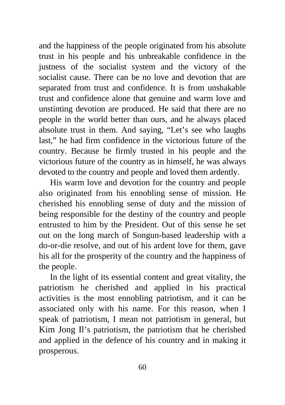and the happiness of the people originated from his absolute trust in his people and his unbreakable confidence in the justness of the socialist system and the victory of the socialist cause. There can be no love and devotion that are separated from trust and confidence. It is from unshakable trust and confidence alone that genuine and warm love and unstinting devotion are produced. He said that there are no people in the world better than ours, and he always placed absolute trust in them. And saying, "Let's see who laughs last," he had firm confidence in the victorious future of the country. Because he firmly trusted in his people and the victorious future of the country as in himself, he was always devoted to the country and people and loved them ardently.

His warm love and devotion for the country and people also originated from his ennobling sense of mission. He cherished his ennobling sense of duty and the mission of being responsible for the destiny of the country and people entrusted to him by the President. Out of this sense he set out on the long march of Songun-based leadership with a do-or-die resolve, and out of his ardent love for them, gave his all for the prosperity of the country and the happiness of the people.

In the light of its essential content and great vitality, the patriotism he cherished and applied in his practical activities is the most ennobling patriotism, and it can be associated only with his name. For this reason, when I speak of patriotism, I mean not patriotism in general, but Kim Jong Il's patriotism, the patriotism that he cherished and applied in the defence of his country and in making it prosperous.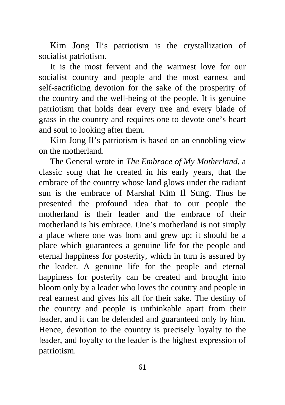Kim Jong Il's patriotism is the crystallization of socialist patriotism.

It is the most fervent and the warmest love for our socialist country and people and the most earnest and self-sacrificing devotion for the sake of the prosperity of the country and the well-being of the people. It is genuine patriotism that holds dear every tree and every blade of grass in the country and requires one to devote one's heart and soul to looking after them.

Kim Jong Il's patriotism is based on an ennobling view on the motherland.

The General wrote in *The Embrace of My Motherland*, a classic song that he created in his early years, that the embrace of the country whose land glows under the radiant sun is the embrace of Marshal Kim Il Sung. Thus he presented the profound idea that to our people the motherland is their leader and the embrace of their motherland is his embrace. One's motherland is not simply a place where one was born and grew up; it should be a place which guarantees a genuine life for the people and eternal happiness for posterity, which in turn is assured by the leader. A genuine life for the people and eternal happiness for posterity can be created and brought into bloom only by a leader who loves the country and people in real earnest and gives his all for their sake. The destiny of the country and people is unthinkable apart from their leader, and it can be defended and guaranteed only by him. Hence, devotion to the country is precisely loyalty to the leader, and loyalty to the leader is the highest expression of patriotism.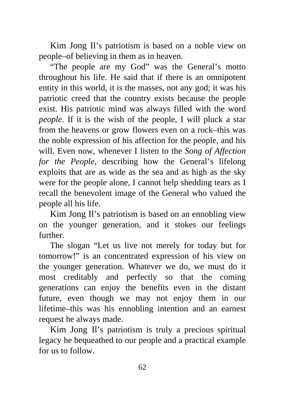Kim Jong Il's patriotism is based on a noble view on people–of believing in them as in heaven.

"The people are my God" was the General's motto throughout his life. He said that if there is an omnipotent entity in this world, it is the masses, not any god; it was his patriotic creed that the country exists because the people exist. His patriotic mind was always filled with the word *people*. If it is the wish of the people, I will pluck a star from the heavens or grow flowers even on a rock–this was the noble expression of his affection for the people, and his will. Even now, whenever I listen to the *Song of Affection for the People*, describing how the General's lifelong exploits that are as wide as the sea and as high as the sky were for the people alone, I cannot help shedding tears as I recall the benevolent image of the General who valued the people all his life.

Kim Jong Il's patriotism is based on an ennobling view on the younger generation, and it stokes our feelings further.

The slogan "Let us live not merely for today but for tomorrow!" is an concentrated expression of his view on the younger generation. Whatever we do, we must do it most creditably and perfectly so that the coming generations can enjoy the benefits even in the distant future, even though we may not enjoy them in our lifetime–this was his ennobling intention and an earnest request he always made.

Kim Jong Il's patriotism is truly a precious spiritual legacy he bequeathed to our people and a practical example for us to follow.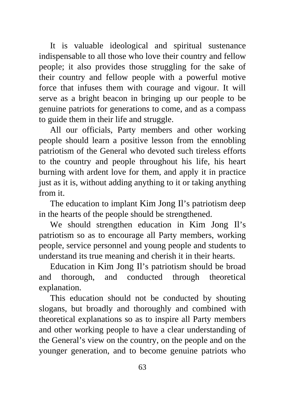It is valuable ideological and spiritual sustenance indispensable to all those who love their country and fellow people; it also provides those struggling for the sake of their country and fellow people with a powerful motive force that infuses them with courage and vigour. It will serve as a bright beacon in bringing up our people to be genuine patriots for generations to come, and as a compass to guide them in their life and struggle.

All our officials, Party members and other working people should learn a positive lesson from the ennobling patriotism of the General who devoted such tireless efforts to the country and people throughout his life, his heart burning with ardent love for them, and apply it in practice just as it is, without adding anything to it or taking anything from it.

The education to implant Kim Jong Il's patriotism deep in the hearts of the people should be strengthened.

We should strengthen education in Kim Jong Il's patriotism so as to encourage all Party members, working people, service personnel and young people and students to understand its true meaning and cherish it in their hearts.

Education in Kim Jong Il's patriotism should be broad and thorough, and conducted through theoretical explanation.

This education should not be conducted by shouting slogans, but broadly and thoroughly and combined with theoretical explanations so as to inspire all Party members and other working people to have a clear understanding of the General's view on the country, on the people and on the younger generation, and to become genuine patriots who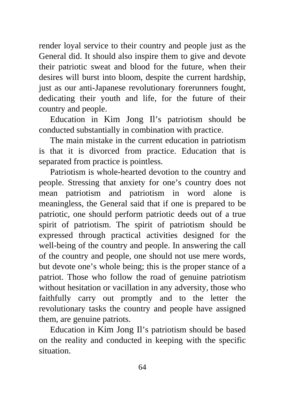render loyal service to their country and people just as the General did. It should also inspire them to give and devote their patriotic sweat and blood for the future, when their desires will burst into bloom, despite the current hardship, just as our anti-Japanese revolutionary forerunners fought, dedicating their youth and life, for the future of their country and people.

Education in Kim Jong Il's patriotism should be conducted substantially in combination with practice.

The main mistake in the current education in patriotism is that it is divorced from practice. Education that is separated from practice is pointless.

Patriotism is whole-hearted devotion to the country and people. Stressing that anxiety for one's country does not mean patriotism and patriotism in word alone is meaningless, the General said that if one is prepared to be patriotic, one should perform patriotic deeds out of a true spirit of patriotism. The spirit of patriotism should be expressed through practical activities designed for the well-being of the country and people. In answering the call of the country and people, one should not use mere words, but devote one's whole being; this is the proper stance of a patriot. Those who follow the road of genuine patriotism without hesitation or vacillation in any adversity, those who faithfully carry out promptly and to the letter the revolutionary tasks the country and people have assigned them, are genuine patriots.

Education in Kim Jong Il's patriotism should be based on the reality and conducted in keeping with the specific situation.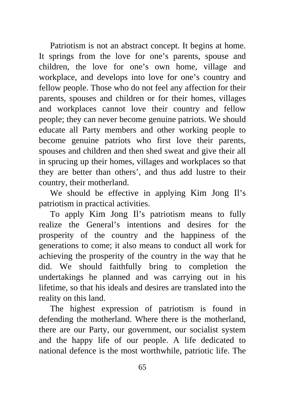Patriotism is not an abstract concept. It begins at home. It springs from the love for one's parents, spouse and children, the love for one's own home, village and workplace, and develops into love for one's country and fellow people. Those who do not feel any affection for their parents, spouses and children or for their homes, villages and workplaces cannot love their country and fellow people; they can never become genuine patriots. We should educate all Party members and other working people to become genuine patriots who first love their parents, spouses and children and then shed sweat and give their all in sprucing up their homes, villages and workplaces so that they are better than others', and thus add lustre to their country, their motherland.

We should be effective in applying Kim Jong Il's patriotism in practical activities.

To apply Kim Jong Il's patriotism means to fully realize the General's intentions and desires for the prosperity of the country and the happiness of the generations to come; it also means to conduct all work for achieving the prosperity of the country in the way that he did. We should faithfully bring to completion the undertakings he planned and was carrying out in his lifetime, so that his ideals and desires are translated into the reality on this land.

The highest expression of patriotism is found in defending the motherland. Where there is the motherland, there are our Party, our government, our socialist system and the happy life of our people. A life dedicated to national defence is the most worthwhile, patriotic life. The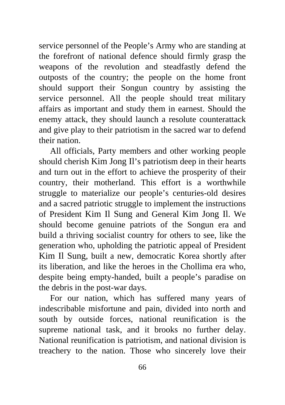service personnel of the People's Army who are standing at the forefront of national defence should firmly grasp the weapons of the revolution and steadfastly defend the outposts of the country; the people on the home front should support their Songun country by assisting the service personnel. All the people should treat military affairs as important and study them in earnest. Should the enemy attack, they should launch a resolute counterattack and give play to their patriotism in the sacred war to defend their nation.

All officials, Party members and other working people should cherish Kim Jong Il's patriotism deep in their hearts and turn out in the effort to achieve the prosperity of their country, their motherland. This effort is a worthwhile struggle to materialize our people's centuries-old desires and a sacred patriotic struggle to implement the instructions of President Kim Il Sung and General Kim Jong Il. We should become genuine patriots of the Songun era and build a thriving socialist country for others to see, like the generation who, upholding the patriotic appeal of President Kim Il Sung, built a new, democratic Korea shortly after its liberation, and like the heroes in the Chollima era who, despite being empty-handed, built a people's paradise on the debris in the post-war days.

For our nation, which has suffered many years of indescribable misfortune and pain, divided into north and south by outside forces, national reunification is the supreme national task, and it brooks no further delay. National reunification is patriotism, and national division is treachery to the nation. Those who sincerely love their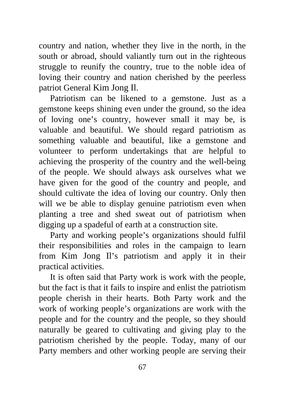country and nation, whether they live in the north, in the south or abroad, should valiantly turn out in the righteous struggle to reunify the country, true to the noble idea of loving their country and nation cherished by the peerless patriot General Kim Jong Il.

Patriotism can be likened to a gemstone. Just as a gemstone keeps shining even under the ground, so the idea of loving one's country, however small it may be, is valuable and beautiful. We should regard patriotism as something valuable and beautiful, like a gemstone and volunteer to perform undertakings that are helpful to achieving the prosperity of the country and the well-being of the people. We should always ask ourselves what we have given for the good of the country and people, and should cultivate the idea of loving our country. Only then will we be able to display genuine patriotism even when planting a tree and shed sweat out of patriotism when digging up a spadeful of earth at a construction site.

Party and working people's organizations should fulfil their responsibilities and roles in the campaign to learn from Kim Jong Il's patriotism and apply it in their practical activities.

It is often said that Party work is work with the people, but the fact is that it fails to inspire and enlist the patriotism people cherish in their hearts. Both Party work and the work of working people's organizations are work with the people and for the country and the people, so they should naturally be geared to cultivating and giving play to the patriotism cherished by the people. Today, many of our Party members and other working people are serving their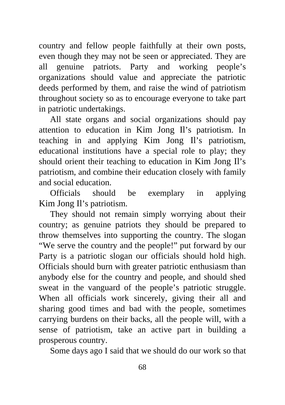country and fellow people faithfully at their own posts, even though they may not be seen or appreciated. They are all genuine patriots. Party and working people's organizations should value and appreciate the patriotic deeds performed by them, and raise the wind of patriotism throughout society so as to encourage everyone to take part in patriotic undertakings.

All state organs and social organizations should pay attention to education in Kim Jong Il's patriotism. In teaching in and applying Kim Jong Il's patriotism, educational institutions have a special role to play; they should orient their teaching to education in Kim Jong Il's patriotism, and combine their education closely with family and social education.

Officials should be exemplary in applying Kim Jong Il's patriotism.

They should not remain simply worrying about their country; as genuine patriots they should be prepared to throw themselves into supporting the country. The slogan "We serve the country and the people!" put forward by our Party is a patriotic slogan our officials should hold high. Officials should burn with greater patriotic enthusiasm than anybody else for the country and people, and should shed sweat in the vanguard of the people's patriotic struggle. When all officials work sincerely, giving their all and sharing good times and bad with the people, sometimes carrying burdens on their backs, all the people will, with a sense of patriotism, take an active part in building a prosperous country.

Some days ago I said that we should do our work so that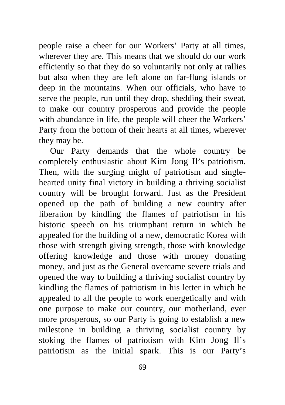people raise a cheer for our Workers' Party at all times, wherever they are. This means that we should do our work efficiently so that they do so voluntarily not only at rallies but also when they are left alone on far-flung islands or deep in the mountains. When our officials, who have to serve the people, run until they drop, shedding their sweat, to make our country prosperous and provide the people with abundance in life, the people will cheer the Workers' Party from the bottom of their hearts at all times, wherever they may be.

Our Party demands that the whole country be completely enthusiastic about Kim Jong Il's patriotism. Then, with the surging might of patriotism and singlehearted unity final victory in building a thriving socialist country will be brought forward. Just as the President opened up the path of building a new country after liberation by kindling the flames of patriotism in his historic speech on his triumphant return in which he appealed for the building of a new, democratic Korea with those with strength giving strength, those with knowledge offering knowledge and those with money donating money, and just as the General overcame severe trials and opened the way to building a thriving socialist country by kindling the flames of patriotism in his letter in which he appealed to all the people to work energetically and with one purpose to make our country, our motherland, ever more prosperous, so our Party is going to establish a new milestone in building a thriving socialist country by stoking the flames of patriotism with Kim Jong Il's patriotism as the initial spark. This is our Party's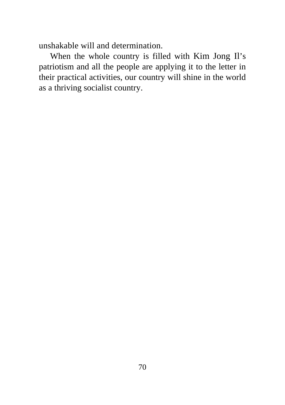unshakable will and determination.

When the whole country is filled with Kim Jong Il's patriotism and all the people are applying it to the letter in their practical activities, our country will shine in the world as a thriving socialist country.